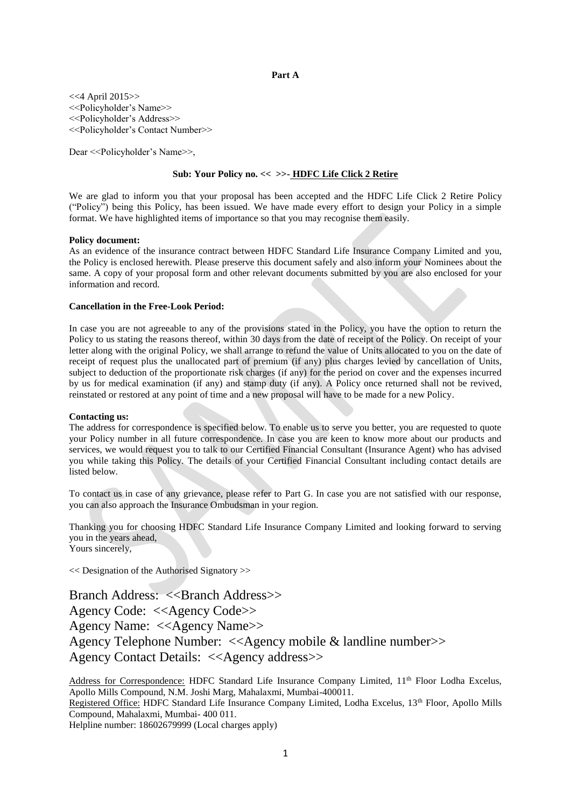#### **Part A**

<<4 April 2015>> <<Policyholder's Name>> <<Policyholder's Address>> <<Policyholder's Contact Number>>

Dear <<Policyholder's Name>>,

## **Sub: Your Policy no. << >>- HDFC Life Click 2 Retire**

We are glad to inform you that your proposal has been accepted and the HDFC Life Click 2 Retire Policy ("Policy") being this Policy, has been issued. We have made every effort to design your Policy in a simple format. We have highlighted items of importance so that you may recognise them easily.

#### **Policy document:**

As an evidence of the insurance contract between HDFC Standard Life Insurance Company Limited and you, the Policy is enclosed herewith. Please preserve this document safely and also inform your Nominees about the same. A copy of your proposal form and other relevant documents submitted by you are also enclosed for your information and record.

#### **Cancellation in the Free-Look Period:**

In case you are not agreeable to any of the provisions stated in the Policy, you have the option to return the Policy to us stating the reasons thereof, within 30 days from the date of receipt of the Policy. On receipt of your letter along with the original Policy, we shall arrange to refund the value of Units allocated to you on the date of receipt of request plus the unallocated part of premium (if any) plus charges levied by cancellation of Units, subject to deduction of the proportionate risk charges (if any) for the period on cover and the expenses incurred by us for medical examination (if any) and stamp duty (if any). A Policy once returned shall not be revived, reinstated or restored at any point of time and a new proposal will have to be made for a new Policy.

#### **Contacting us:**

The address for correspondence is specified below. To enable us to serve you better, you are requested to quote your Policy number in all future correspondence. In case you are keen to know more about our products and services, we would request you to talk to our Certified Financial Consultant (Insurance Agent) who has advised you while taking this Policy. The details of your Certified Financial Consultant including contact details are listed below.

To contact us in case of any grievance, please refer to Part G. In case you are not satisfied with our response, you can also approach the Insurance Ombudsman in your region.

Thanking you for choosing HDFC Standard Life Insurance Company Limited and looking forward to serving you in the years ahead, Yours sincerely,

<< Designation of the Authorised Signatory >>

Branch Address: <<Br/>SBranch Address>> Agency Code: <<Agency Code>> Agency Name: <<Agency Name>> Agency Telephone Number: <<Agency mobile & landline number>> Agency Contact Details: <<Agency address>>

Address for Correspondence: HDFC Standard Life Insurance Company Limited, 11<sup>th</sup> Floor Lodha Excelus, Apollo Mills Compound, N.M. Joshi Marg, Mahalaxmi, Mumbai-400011. Registered Office: HDFC Standard Life Insurance Company Limited, Lodha Excelus, 13<sup>th</sup> Floor, Apollo Mills Compound, Mahalaxmi, Mumbai- 400 011. Helpline number: 18602679999 (Local charges apply)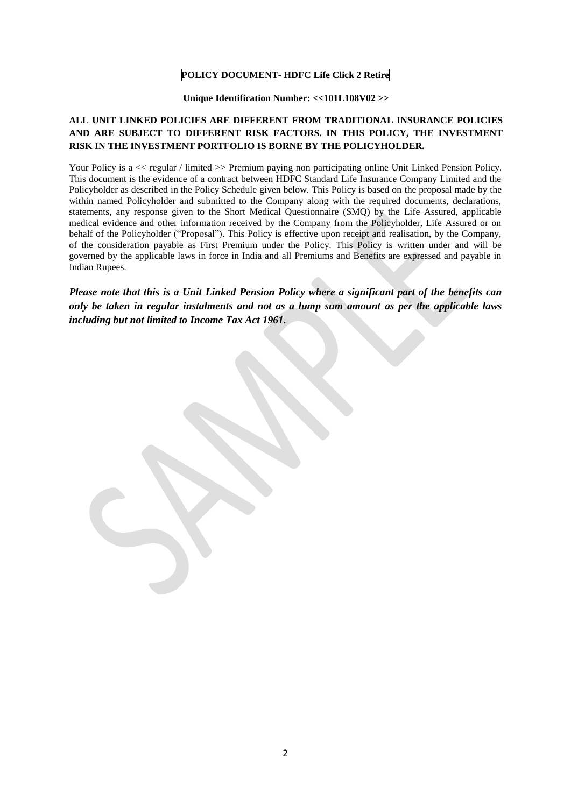# **POLICY DOCUMENT- HDFC Life Click 2 Retire**

#### **Unique Identification Number: <<101L108V02 >>**

# **ALL UNIT LINKED POLICIES ARE DIFFERENT FROM TRADITIONAL INSURANCE POLICIES AND ARE SUBJECT TO DIFFERENT RISK FACTORS. IN THIS POLICY, THE INVESTMENT RISK IN THE INVESTMENT PORTFOLIO IS BORNE BY THE POLICYHOLDER.**

Your Policy is a  $\lt$  regular / limited  $\gt$  Premium paying non participating online Unit Linked Pension Policy. This document is the evidence of a contract between HDFC Standard Life Insurance Company Limited and the Policyholder as described in the Policy Schedule given below. This Policy is based on the proposal made by the within named Policyholder and submitted to the Company along with the required documents, declarations, statements, any response given to the Short Medical Questionnaire (SMQ) by the Life Assured, applicable medical evidence and other information received by the Company from the Policyholder, Life Assured or on behalf of the Policyholder ("Proposal"). This Policy is effective upon receipt and realisation, by the Company, of the consideration payable as First Premium under the Policy. This Policy is written under and will be governed by the applicable laws in force in India and all Premiums and Benefits are expressed and payable in Indian Rupees.

# *Please note that this is a Unit Linked Pension Policy where a significant part of the benefits can only be taken in regular instalments and not as a lump sum amount as per the applicable laws including but not limited to Income Tax Act 1961.*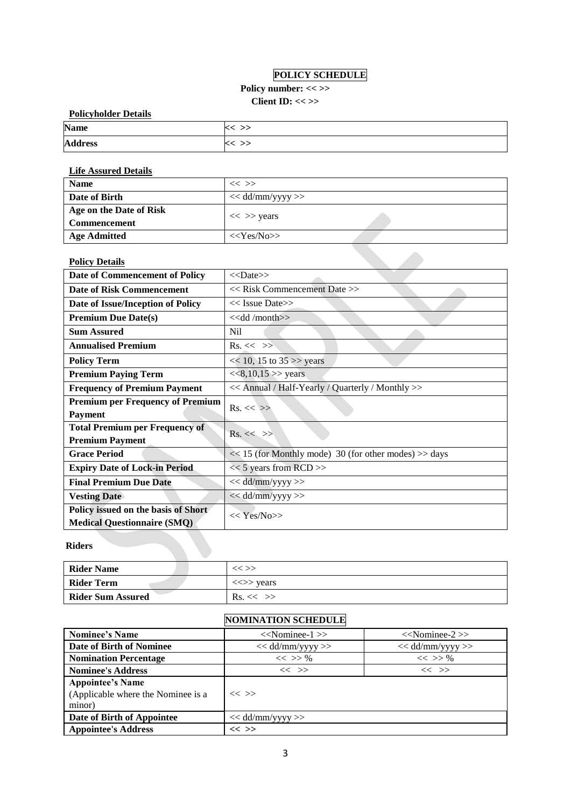# **POLICY SCHEDULE**

 $\mathcal{L}$ 

# Policy number: << >> **Client ID: << >>**

| <b>Policyholder Details</b> |           |  |  |
|-----------------------------|-----------|--|--|
| <b>Name</b>                 | $<<$ $>>$ |  |  |
| <b>Address</b>              | K < >>    |  |  |

# **Life Assured Details**

| <b>Name</b>             | $<<$ $>>$          |
|-------------------------|--------------------|
| Date of Birth           | $<<$ dd/mm/yyyy >> |
| Age on the Date of Risk |                    |
| <b>Commencement</b>     | $<<$ >> years      |
| <b>Age Admitted</b>     | $<<$ Yes/No>>      |

# **Policy Details**

| Date of Commencement of Policy          | $<<$ Date $>>$                                        |
|-----------------------------------------|-------------------------------------------------------|
| <b>Date of Risk Commencement</b>        | << Risk Commencement Date >>                          |
| Date of Issue/Inception of Policy       | $<<$ Issue Date>>                                     |
| <b>Premium Due Date(s)</b>              | $<<$ dd /month $>>$                                   |
| <b>Sum Assured</b>                      | Nil                                                   |
| <b>Annualised Premium</b>               | $Rs. \ll \gg$                                         |
| <b>Policy Term</b>                      | $<< 10$ , 15 to 35 >> years                           |
| <b>Premium Paying Term</b>              | <<8,10,15>> years                                     |
| <b>Frequency of Premium Payment</b>     | << Annual / Half-Yearly / Quarterly / Monthly >>      |
|                                         |                                                       |
| <b>Premium per Frequency of Premium</b> |                                                       |
| <b>Payment</b>                          | $Rs. \ll \gg$                                         |
| <b>Total Premium per Frequency of</b>   |                                                       |
| <b>Premium Payment</b>                  | $Rs. \ll \gg$                                         |
| <b>Grace Period</b>                     | << 15 (for Monthly mode) 30 (for other modes) >> days |
| <b>Expiry Date of Lock-in Period</b>    | $<< 5$ years from RCD >>                              |
| <b>Final Premium Due Date</b>           | $<<$ dd/mm/yyyy >>                                    |
| <b>Vesting Date</b>                     | $<<$ dd/mm/yyyy >>                                    |
| Policy issued on the basis of Short     | $<<$ Yes/No>>                                         |

# **Riders**

| <b>Rider Name</b>        | $<<$ $>>$                               |
|--------------------------|-----------------------------------------|
| <b>Rider Term</b>        | $\langle \langle \rangle \rangle$ years |
| <b>Rider Sum Assured</b> | $\text{Rs.}<<\gg$                       |

# **NOMINATION SCHEDULE**

| <b>Nominee's Name</b>                                                   | $<<$ Nominee-1 $>>$ | $<<$ Nominee-2 $>>$ |
|-------------------------------------------------------------------------|---------------------|---------------------|
| <b>Date of Birth of Nominee</b>                                         | $<<$ dd/mm/yyyy >>  | $<<$ dd/mm/yyyy >>  |
| <b>Nomination Percentage</b>                                            | $<<$ >> %           | $<<$ >> %           |
| <b>Nominee's Address</b>                                                | $<<$ $>>$           | $\ll$ $\gg$         |
| <b>Appointee's Name</b><br>(Applicable where the Nominee is a<br>minor) | $<<$ >>             |                     |
| Date of Birth of Appointee                                              | $<<$ dd/mm/yyyy >>  |                     |
| <b>Appointee's Address</b>                                              | $<<$ >>             |                     |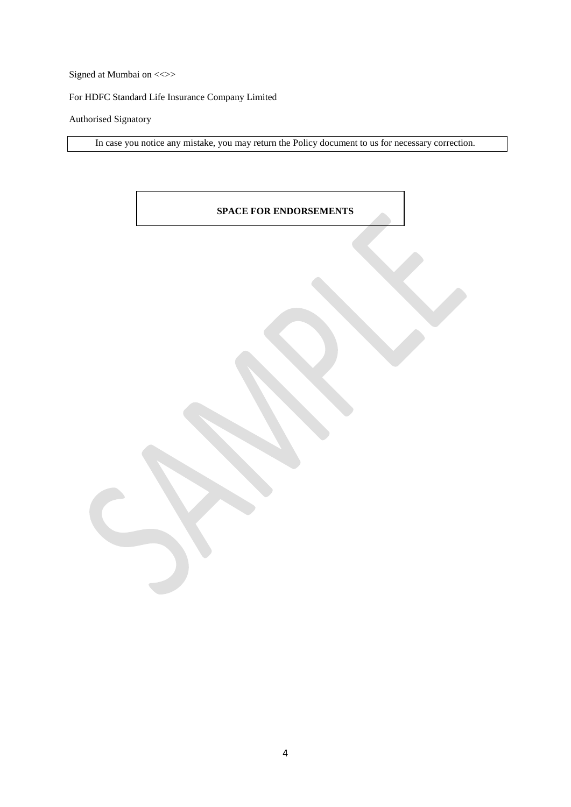Signed at Mumbai on <<>>

For HDFC Standard Life Insurance Company Limited

# Authorised Signatory

In case you notice any mistake, you may return the Policy document to us for necessary correction.

# **SPACE FOR ENDORSEMENTS**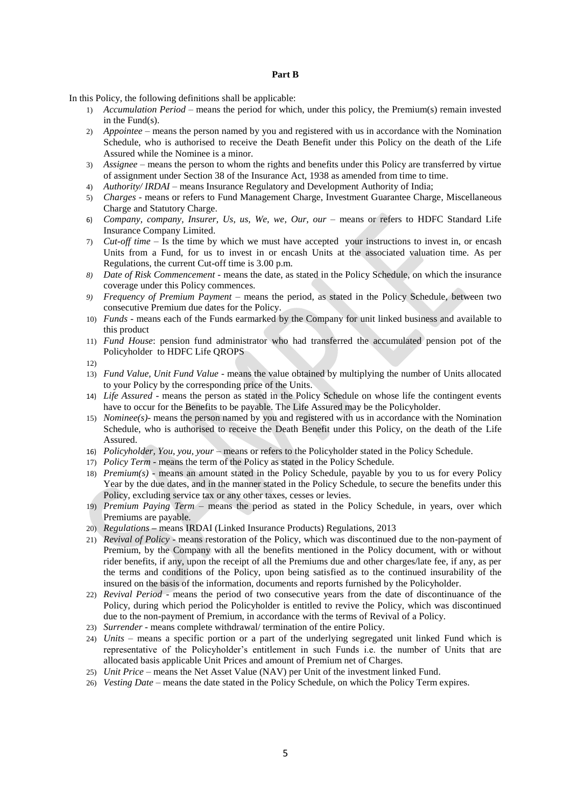#### **Part B**

In this Policy, the following definitions shall be applicable:

- 1) *Accumulation Period* means the period for which, under this policy, the Premium(s) remain invested in the Fund(s).
- 2) *Appointee –* means the person named by you and registered with us in accordance with the Nomination Schedule, who is authorised to receive the Death Benefit under this Policy on the death of the Life Assured while the Nominee is a minor.
- 3) *Assignee*  means the person to whom the rights and benefits under this Policy are transferred by virtue of assignment under Section 38 of the Insurance Act, 1938 as amended from time to time.
- 4) *Authority/ IRDAI* means Insurance Regulatory and Development Authority of India;
- 5) *Charges -* means or refers to Fund Management Charge, Investment Guarantee Charge, Miscellaneous Charge and Statutory Charge.
- 6) *Company, company, Insurer, Us, us, We, we, Our, our*  means or refers to HDFC Standard Life Insurance Company Limited.
- 7) *Cut-off time*  Is the time by which we must have accepted your instructions to invest in, or encash Units from a Fund, for us to invest in or encash Units at the associated valuation time. As per Regulations, the current Cut-off time is 3.00 p.m.
- *8) Date of Risk Commencement -* means the date, as stated in the Policy Schedule, on which the insurance coverage under this Policy commences.
- *9) Frequency of Premium Payment –* means the period, as stated in the Policy Schedule, between two consecutive Premium due dates for the Policy.
- 10) *Funds* means each of the Funds earmarked by the Company for unit linked business and available to this product
- 11) *Fund House*: pension fund administrator who had transferred the accumulated pension pot of the Policyholder to HDFC Life QROPS
- 12)
- 13) *Fund Value, Unit Fund Value* means the value obtained by multiplying the number of Units allocated to your Policy by the corresponding price of the Units.
- 14) *Life Assured* means the person as stated in the Policy Schedule on whose life the contingent events have to occur for the Benefits to be payable. The Life Assured may be the Policyholder.
- 15) *Nominee(s)-* means the person named by you and registered with us in accordance with the Nomination Schedule, who is authorised to receive the Death Benefit under this Policy, on the death of the Life Assured.
- 16) *Policyholder, You, you, your* means or refers to the Policyholder stated in the Policy Schedule.
- 17) *Policy Term*  means the term of the Policy as stated in the Policy Schedule.
- 18) *Premium(s)* means an amount stated in the Policy Schedule, payable by you to us for every Policy Year by the due dates, and in the manner stated in the Policy Schedule, to secure the benefits under this Policy, excluding service tax or any other taxes, cesses or levies.
- 19) *Premium Paying Term –* means the period as stated in the Policy Schedule, in years, over which Premiums are payable.
- 20) *Regulations* **–** means IRDAI (Linked Insurance Products) Regulations, 2013
- 21) *Revival of Policy* means restoration of the Policy, which was discontinued due to the non-payment of Premium, by the Company with all the benefits mentioned in the Policy document, with or without rider benefits, if any, upon the receipt of all the Premiums due and other charges/late fee, if any, as per the terms and conditions of the Policy, upon being satisfied as to the continued insurability of the insured on the basis of the information, documents and reports furnished by the Policyholder.
- 22) *Revival Period*  means the period of two consecutive years from the date of discontinuance of the Policy, during which period the Policyholder is entitled to revive the Policy, which was discontinued due to the non-payment of Premium, in accordance with the terms of Revival of a Policy.
- 23) *Surrender* means complete withdrawal/ termination of the entire Policy.
- 24) *Units* means a specific portion or a part of the underlying segregated unit linked Fund which is representative of the Policyholder's entitlement in such Funds i.e. the number of Units that are allocated basis applicable Unit Prices and amount of Premium net of Charges.
- 25) *Unit Price* means the Net Asset Value (NAV) per Unit of the investment linked Fund.
- 26) *Vesting Date –* means the date stated in the Policy Schedule, on which the Policy Term expires.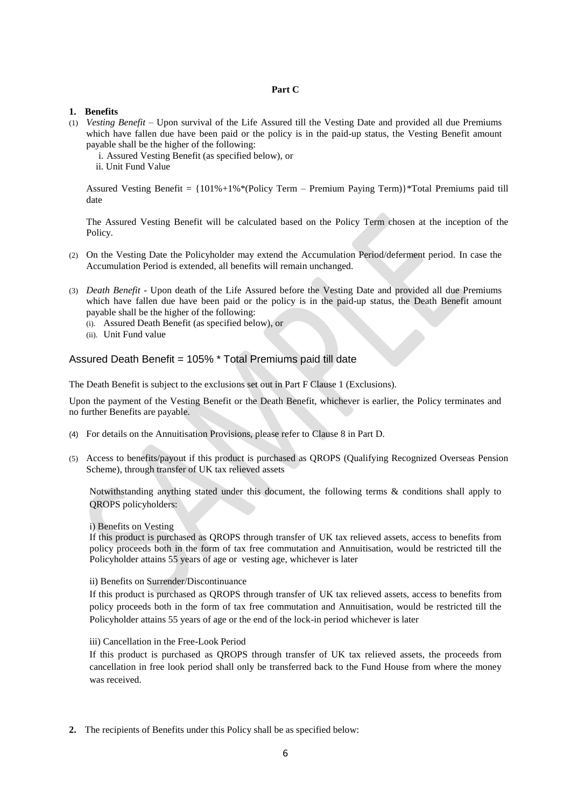# **Part C**

#### **1. Benefits**

- (1) *Vesting Benefit –* Upon survival of the Life Assured till the Vesting Date and provided all due Premiums which have fallen due have been paid or the policy is in the paid-up status, the Vesting Benefit amount payable shall be the higher of the following:
	- i. Assured Vesting Benefit (as specified below), or
	- ii. Unit Fund Value

Assured Vesting Benefit = {101%+1%\*(Policy Term – Premium Paying Term)}\*Total Premiums paid till date

The Assured Vesting Benefit will be calculated based on the Policy Term chosen at the inception of the Policy.

- (2) On the Vesting Date the Policyholder may extend the Accumulation Period/deferment period. In case the Accumulation Period is extended, all benefits will remain unchanged.
- (3) *Death Benefit* Upon death of the Life Assured before the Vesting Date and provided all due Premiums which have fallen due have been paid or the policy is in the paid-up status, the Death Benefit amount payable shall be the higher of the following:
	- (i). Assured Death Benefit (as specified below), or
	- (ii). Unit Fund value

# Assured Death Benefit = 105% \* Total Premiums paid till date

The Death Benefit is subject to the exclusions set out in Part F Clause 1 (Exclusions).

Upon the payment of the Vesting Benefit or the Death Benefit, whichever is earlier, the Policy terminates and no further Benefits are payable.

- (4) For details on the Annuitisation Provisions, please refer to Clause 8 in Part D.
- (5) Access to benefits/payout if this product is purchased as QROPS (Qualifying Recognized Overseas Pension Scheme), through transfer of UK tax relieved assets

Notwithstanding anything stated under this document, the following terms & conditions shall apply to QROPS policyholders:

#### i) Benefits on Vesting

If this product is purchased as QROPS through transfer of UK tax relieved assets, access to benefits from policy proceeds both in the form of tax free commutation and Annuitisation, would be restricted till the Policyholder attains 55 years of age or vesting age, whichever is later

#### ii) Benefits on Surrender/Discontinuance

If this product is purchased as QROPS through transfer of UK tax relieved assets, access to benefits from policy proceeds both in the form of tax free commutation and Annuitisation, would be restricted till the Policyholder attains 55 years of age or the end of the lock-in period whichever is later

iii) Cancellation in the Free-Look Period

If this product is purchased as QROPS through transfer of UK tax relieved assets, the proceeds from cancellation in free look period shall only be transferred back to the Fund House from where the money was received.

**2.** The recipients of Benefits under this Policy shall be as specified below: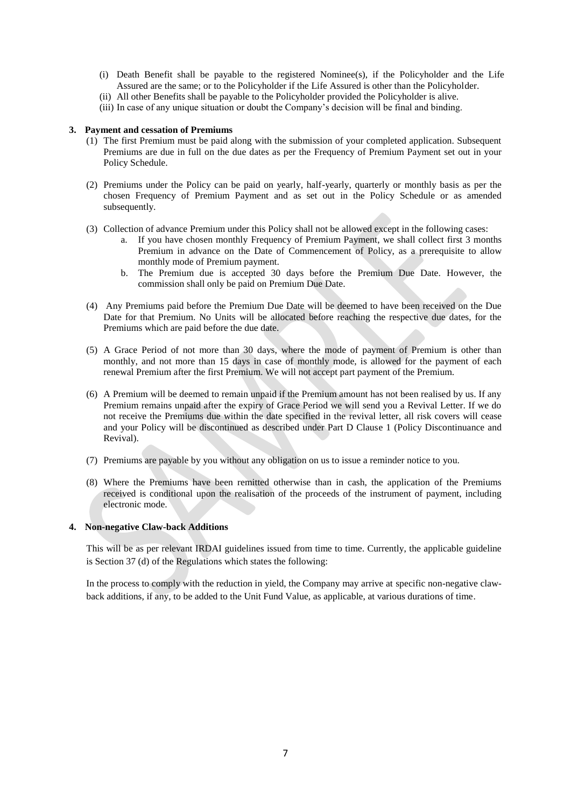- (i) Death Benefit shall be payable to the registered Nominee(s), if the Policyholder and the Life Assured are the same; or to the Policyholder if the Life Assured is other than the Policyholder.
- (ii) All other Benefits shall be payable to the Policyholder provided the Policyholder is alive.
- (iii) In case of any unique situation or doubt the Company's decision will be final and binding.

### **3. Payment and cessation of Premiums**

- (1) The first Premium must be paid along with the submission of your completed application. Subsequent Premiums are due in full on the due dates as per the Frequency of Premium Payment set out in your Policy Schedule.
- (2) Premiums under the Policy can be paid on yearly, half-yearly, quarterly or monthly basis as per the chosen Frequency of Premium Payment and as set out in the Policy Schedule or as amended subsequently.
- (3) Collection of advance Premium under this Policy shall not be allowed except in the following cases:
	- a. If you have chosen monthly Frequency of Premium Payment, we shall collect first 3 months Premium in advance on the Date of Commencement of Policy, as a prerequisite to allow monthly mode of Premium payment.
	- b. The Premium due is accepted 30 days before the Premium Due Date. However, the commission shall only be paid on Premium Due Date.
- (4) Any Premiums paid before the Premium Due Date will be deemed to have been received on the Due Date for that Premium. No Units will be allocated before reaching the respective due dates, for the Premiums which are paid before the due date.
- (5) A Grace Period of not more than 30 days, where the mode of payment of Premium is other than monthly, and not more than 15 days in case of monthly mode, is allowed for the payment of each renewal Premium after the first Premium. We will not accept part payment of the Premium.
- (6) A Premium will be deemed to remain unpaid if the Premium amount has not been realised by us. If any Premium remains unpaid after the expiry of Grace Period we will send you a Revival Letter. If we do not receive the Premiums due within the date specified in the revival letter, all risk covers will cease and your Policy will be discontinued as described under Part D Clause 1 (Policy Discontinuance and Revival).
- (7) Premiums are payable by you without any obligation on us to issue a reminder notice to you.
- (8) Where the Premiums have been remitted otherwise than in cash, the application of the Premiums received is conditional upon the realisation of the proceeds of the instrument of payment, including electronic mode.

# **4. Non-negative Claw-back Additions**

This will be as per relevant IRDAI guidelines issued from time to time. Currently, the applicable guideline is Section 37 (d) of the Regulations which states the following:

In the process to comply with the reduction in yield, the Company may arrive at specific non-negative clawback additions, if any, to be added to the Unit Fund Value, as applicable, at various durations of time.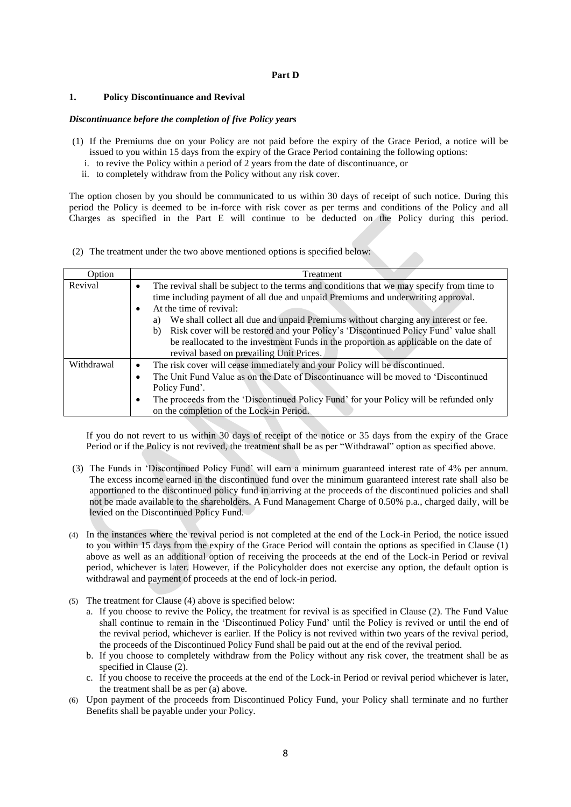### **Part D**

#### **1. Policy Discontinuance and Revival**

#### *Discontinuance before the completion of five Policy years*

- (1) If the Premiums due on your Policy are not paid before the expiry of the Grace Period, a notice will be issued to you within 15 days from the expiry of the Grace Period containing the following options:
	- i. to revive the Policy within a period of 2 years from the date of discontinuance, or
	- ii. to completely withdraw from the Policy without any risk cover.

The option chosen by you should be communicated to us within 30 days of receipt of such notice. During this period the Policy is deemed to be in-force with risk cover as per terms and conditions of the Policy and all Charges as specified in the Part E will continue to be deducted on the Policy during this period.

(2) The treatment under the two above mentioned options is specified below:

| Option     | Treatment                                                                                                                                                                                                                                                                                                                                                                                                                                                                                                                                                      |
|------------|----------------------------------------------------------------------------------------------------------------------------------------------------------------------------------------------------------------------------------------------------------------------------------------------------------------------------------------------------------------------------------------------------------------------------------------------------------------------------------------------------------------------------------------------------------------|
| Revival    | The revival shall be subject to the terms and conditions that we may specify from time to<br>$\bullet$<br>time including payment of all due and unpaid Premiums and underwriting approval.<br>At the time of revival:<br>$\bullet$<br>We shall collect all due and unpaid Premiums without charging any interest or fee.<br>a)<br>b) Risk cover will be restored and your Policy's 'Discontinued Policy Fund' value shall<br>be reallocated to the investment Funds in the proportion as applicable on the date of<br>revival based on prevailing Unit Prices. |
| Withdrawal | The risk cover will cease immediately and your Policy will be discontinued.<br>٠<br>The Unit Fund Value as on the Date of Discontinuance will be moved to 'Discontinued'<br>$\bullet$<br>Policy Fund'.<br>The proceeds from the 'Discontinued Policy Fund' for your Policy will be refunded only<br>٠<br>on the completion of the Lock-in Period.                                                                                                                                                                                                              |

If you do not revert to us within 30 days of receipt of the notice or 35 days from the expiry of the Grace Period or if the Policy is not revived, the treatment shall be as per "Withdrawal" option as specified above.

- (3) The Funds in 'Discontinued Policy Fund' will earn a minimum guaranteed interest rate of 4% per annum. The excess income earned in the discontinued fund over the minimum guaranteed interest rate shall also be apportioned to the discontinued policy fund in arriving at the proceeds of the discontinued policies and shall not be made available to the shareholders. A Fund Management Charge of 0.50% p.a., charged daily, will be levied on the Discontinued Policy Fund.
- (4) In the instances where the revival period is not completed at the end of the Lock-in Period, the notice issued to you within 15 days from the expiry of the Grace Period will contain the options as specified in Clause (1) above as well as an additional option of receiving the proceeds at the end of the Lock-in Period or revival period, whichever is later. However, if the Policyholder does not exercise any option, the default option is withdrawal and payment of proceeds at the end of lock-in period.
- (5) The treatment for Clause (4) above is specified below:
	- a. If you choose to revive the Policy, the treatment for revival is as specified in Clause (2). The Fund Value shall continue to remain in the 'Discontinued Policy Fund' until the Policy is revived or until the end of the revival period, whichever is earlier. If the Policy is not revived within two years of the revival period, the proceeds of the Discontinued Policy Fund shall be paid out at the end of the revival period.
	- b. If you choose to completely withdraw from the Policy without any risk cover, the treatment shall be as specified in Clause (2).
	- c. If you choose to receive the proceeds at the end of the Lock-in Period or revival period whichever is later, the treatment shall be as per (a) above.
- (6) Upon payment of the proceeds from Discontinued Policy Fund, your Policy shall terminate and no further Benefits shall be payable under your Policy.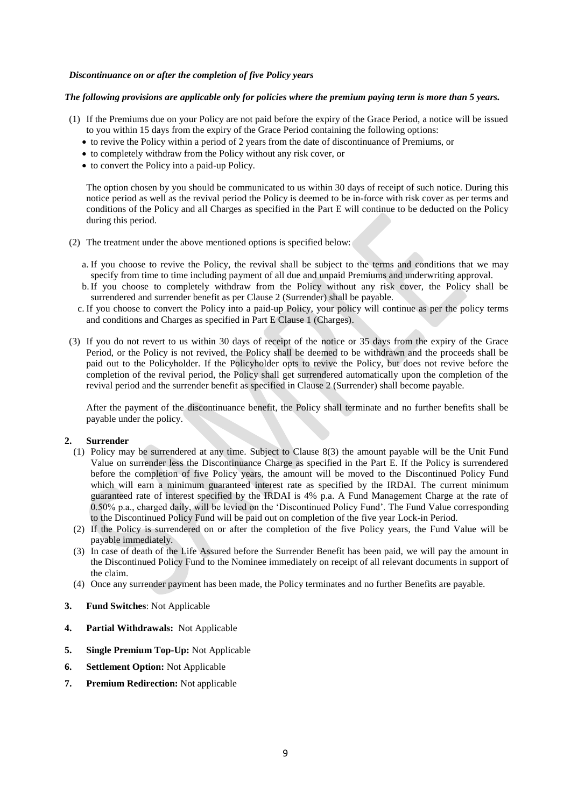### *Discontinuance on or after the completion of five Policy years*

#### *The following provisions are applicable only for policies where the premium paying term is more than 5 years.*

- (1) If the Premiums due on your Policy are not paid before the expiry of the Grace Period, a notice will be issued to you within 15 days from the expiry of the Grace Period containing the following options:
	- to revive the Policy within a period of 2 years from the date of discontinuance of Premiums, or
	- to completely withdraw from the Policy without any risk cover, or
	- to convert the Policy into a paid-up Policy.

The option chosen by you should be communicated to us within 30 days of receipt of such notice. During this notice period as well as the revival period the Policy is deemed to be in-force with risk cover as per terms and conditions of the Policy and all Charges as specified in the Part E will continue to be deducted on the Policy during this period.

- (2) The treatment under the above mentioned options is specified below:
	- a. If you choose to revive the Policy, the revival shall be subject to the terms and conditions that we may specify from time to time including payment of all due and unpaid Premiums and underwriting approval.
	- b.If you choose to completely withdraw from the Policy without any risk cover, the Policy shall be surrendered and surrender benefit as per Clause 2 (Surrender) shall be payable.
	- c. If you choose to convert the Policy into a paid-up Policy, your policy will continue as per the policy terms and conditions and Charges as specified in Part E Clause 1 (Charges).
- (3) If you do not revert to us within 30 days of receipt of the notice or 35 days from the expiry of the Grace Period, or the Policy is not revived, the Policy shall be deemed to be withdrawn and the proceeds shall be paid out to the Policyholder. If the Policyholder opts to revive the Policy, but does not revive before the completion of the revival period, the Policy shall get surrendered automatically upon the completion of the revival period and the surrender benefit as specified in Clause 2 (Surrender) shall become payable.

After the payment of the discontinuance benefit, the Policy shall terminate and no further benefits shall be payable under the policy.

#### **2. Surrender**

- (1) Policy may be surrendered at any time. Subject to Clause 8(3) the amount payable will be the Unit Fund Value on surrender less the Discontinuance Charge as specified in the Part E. If the Policy is surrendered before the completion of five Policy years, the amount will be moved to the Discontinued Policy Fund which will earn a minimum guaranteed interest rate as specified by the IRDAI. The current minimum guaranteed rate of interest specified by the IRDAI is 4% p.a. A Fund Management Charge at the rate of 0.50% p.a., charged daily, will be levied on the 'Discontinued Policy Fund'. The Fund Value corresponding to the Discontinued Policy Fund will be paid out on completion of the five year Lock-in Period.
- (2) If the Policy is surrendered on or after the completion of the five Policy years, the Fund Value will be payable immediately.
- (3) In case of death of the Life Assured before the Surrender Benefit has been paid, we will pay the amount in the Discontinued Policy Fund to the Nominee immediately on receipt of all relevant documents in support of the claim.
- (4) Once any surrender payment has been made, the Policy terminates and no further Benefits are payable.
- **3. Fund Switches**: Not Applicable
- **4. Partial Withdrawals:** Not Applicable
- **5. Single Premium Top-Up:** Not Applicable
- **6. Settlement Option:** Not Applicable
- **7. Premium Redirection:** Not applicable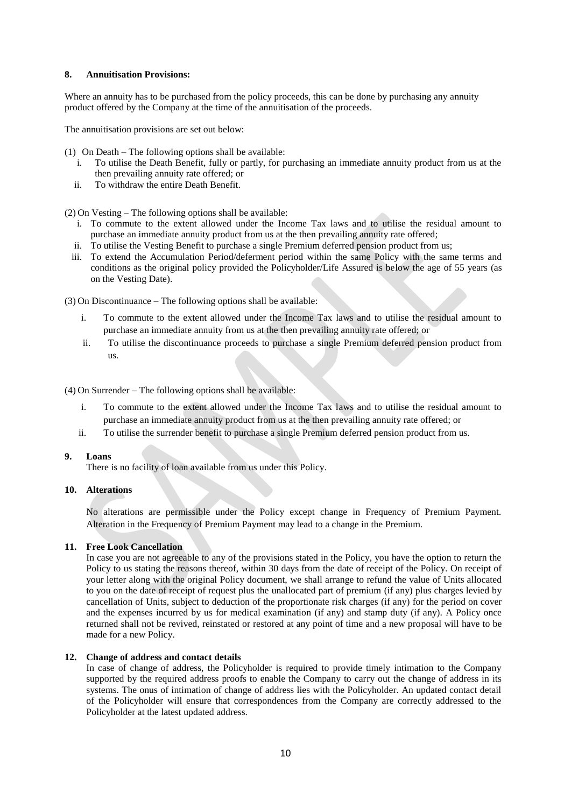### **8. Annuitisation Provisions:**

Where an annuity has to be purchased from the policy proceeds, this can be done by purchasing any annuity product offered by the Company at the time of the annuitisation of the proceeds.

The annuitisation provisions are set out below:

(1) On Death – The following options shall be available:

- i. To utilise the Death Benefit, fully or partly, for purchasing an immediate annuity product from us at the then prevailing annuity rate offered; or
- ii. To withdraw the entire Death Benefit.

(2) On Vesting – The following options shall be available:

- i. To commute to the extent allowed under the Income Tax laws and to utilise the residual amount to purchase an immediate annuity product from us at the then prevailing annuity rate offered;
- ii. To utilise the Vesting Benefit to purchase a single Premium deferred pension product from us;
- iii. To extend the Accumulation Period/deferment period within the same Policy with the same terms and conditions as the original policy provided the Policyholder/Life Assured is below the age of 55 years (as on the Vesting Date).

(3) On Discontinuance – The following options shall be available:

- i. To commute to the extent allowed under the Income Tax laws and to utilise the residual amount to purchase an immediate annuity from us at the then prevailing annuity rate offered; or
- ii. To utilise the discontinuance proceeds to purchase a single Premium deferred pension product from us.

(4) On Surrender – The following options shall be available:

- i. To commute to the extent allowed under the Income Tax laws and to utilise the residual amount to purchase an immediate annuity product from us at the then prevailing annuity rate offered; or
- ii. To utilise the surrender benefit to purchase a single Premium deferred pension product from us.

#### **9. Loans**

There is no facility of loan available from us under this Policy.

# **10. Alterations**

No alterations are permissible under the Policy except change in Frequency of Premium Payment. Alteration in the Frequency of Premium Payment may lead to a change in the Premium.

#### **11. Free Look Cancellation**

In case you are not agreeable to any of the provisions stated in the Policy, you have the option to return the Policy to us stating the reasons thereof, within 30 days from the date of receipt of the Policy. On receipt of your letter along with the original Policy document, we shall arrange to refund the value of Units allocated to you on the date of receipt of request plus the unallocated part of premium (if any) plus charges levied by cancellation of Units, subject to deduction of the proportionate risk charges (if any) for the period on cover and the expenses incurred by us for medical examination (if any) and stamp duty (if any). A Policy once returned shall not be revived, reinstated or restored at any point of time and a new proposal will have to be made for a new Policy.

#### **12. Change of address and contact details**

In case of change of address, the Policyholder is required to provide timely intimation to the Company supported by the required address proofs to enable the Company to carry out the change of address in its systems. The onus of intimation of change of address lies with the Policyholder. An updated contact detail of the Policyholder will ensure that correspondences from the Company are correctly addressed to the Policyholder at the latest updated address.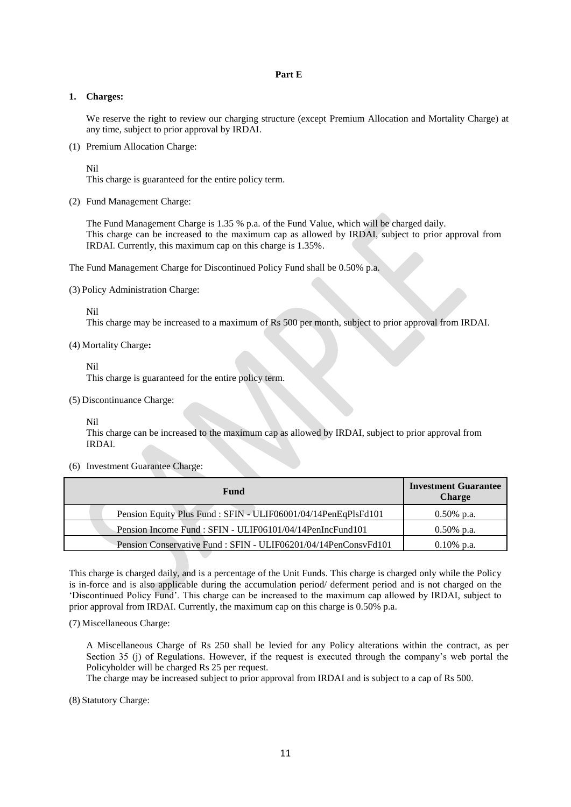# **Part E**

### **1. Charges:**

We reserve the right to review our charging structure (except Premium Allocation and Mortality Charge) at any time, subject to prior approval by IRDAI.

(1) Premium Allocation Charge:

Nil

This charge is guaranteed for the entire policy term.

(2) Fund Management Charge:

The Fund Management Charge is 1.35 % p.a. of the Fund Value, which will be charged daily. This charge can be increased to the maximum cap as allowed by IRDAI, subject to prior approval from IRDAI. Currently, this maximum cap on this charge is 1.35%.

The Fund Management Charge for Discontinued Policy Fund shall be 0.50% p.a.

(3) Policy Administration Charge:

Nil

This charge may be increased to a maximum of Rs 500 per month, subject to prior approval from IRDAI.

(4) Mortality Charge**:**

Nil

This charge is guaranteed for the entire policy term.

(5) Discontinuance Charge:

Nil

This charge can be increased to the maximum cap as allowed by IRDAI, subject to prior approval from IRDAI.

(6) Investment Guarantee Charge:

| Fund                                                           | <b>Investment Guarantee</b><br><b>Charge</b> |
|----------------------------------------------------------------|----------------------------------------------|
| Pension Equity Plus Fund: SFIN - ULIF06001/04/14PenEqPlsFd101  | $0.50\%$ p.a.                                |
| Pension Income Fund: SFIN - ULIF06101/04/14PenIncFund101       | $0.50\%$ p.a.                                |
| Pension Conservative Fund: SFIN - ULIF06201/04/14PenConsvFd101 | $0.10\%$ p.a.                                |

This charge is charged daily, and is a percentage of the Unit Funds. This charge is charged only while the Policy is in-force and is also applicable during the accumulation period/ deferment period and is not charged on the 'Discontinued Policy Fund'. This charge can be increased to the maximum cap allowed by IRDAI, subject to prior approval from IRDAI. Currently, the maximum cap on this charge is 0.50% p.a.

(7) Miscellaneous Charge:

A Miscellaneous Charge of Rs 250 shall be levied for any Policy alterations within the contract, as per Section 35 (j) of Regulations. However, if the request is executed through the company's web portal the Policyholder will be charged Rs 25 per request.

The charge may be increased subject to prior approval from IRDAI and is subject to a cap of Rs 500.

(8) Statutory Charge: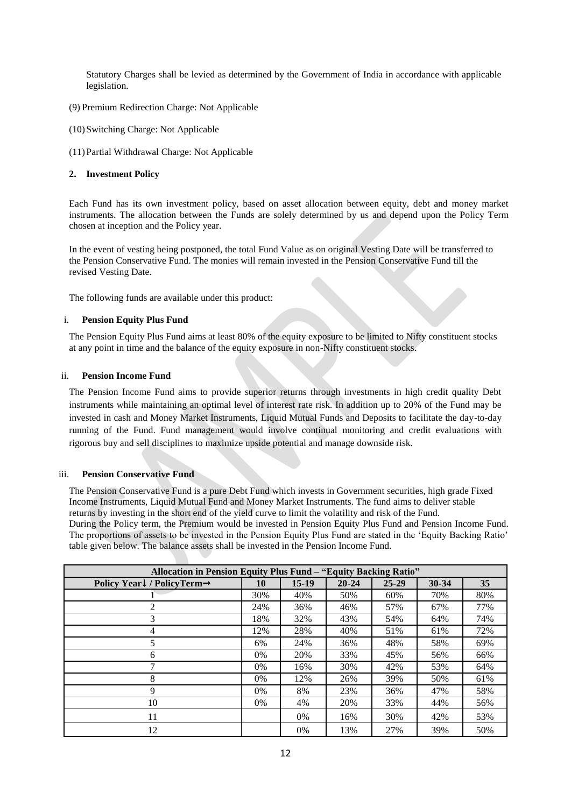Statutory Charges shall be levied as determined by the Government of India in accordance with applicable legislation.

- (9) Premium Redirection Charge: Not Applicable
- (10)Switching Charge: Not Applicable
- (11)Partial Withdrawal Charge: Not Applicable

# **2. Investment Policy**

Each Fund has its own investment policy, based on asset allocation between equity, debt and money market instruments. The allocation between the Funds are solely determined by us and depend upon the Policy Term chosen at inception and the Policy year.

In the event of vesting being postponed, the total Fund Value as on original Vesting Date will be transferred to the Pension Conservative Fund. The monies will remain invested in the Pension Conservative Fund till the revised Vesting Date.

The following funds are available under this product:

# i. **Pension Equity Plus Fund**

The Pension Equity Plus Fund aims at least 80% of the equity exposure to be limited to Nifty constituent stocks at any point in time and the balance of the equity exposure in non-Nifty constituent stocks.

# ii. **Pension Income Fund**

The Pension Income Fund aims to provide superior returns through investments in high credit quality Debt instruments while maintaining an optimal level of interest rate risk. In addition up to 20% of the Fund may be invested in cash and Money Market Instruments, Liquid Mutual Funds and Deposits to facilitate the day-to-day running of the Fund. Fund management would involve continual monitoring and credit evaluations with rigorous buy and sell disciplines to maximize upside potential and manage downside risk.

# iii. **Pension Conservative Fund**

The Pension Conservative Fund is a pure Debt Fund which invests in Government securities, high grade Fixed Income Instruments, Liquid Mutual Fund and Money Market Instruments. The fund aims to deliver stable returns by investing in the short end of the yield curve to limit the volatility and risk of the Fund. During the Policy term, the Premium would be invested in Pension Equity Plus Fund and Pension Income Fund. The proportions of assets to be invested in the Pension Equity Plus Fund are stated in the 'Equity Backing Ratio' table given below. The balance assets shall be invested in the Pension Income Fund.

| Allocation in Pension Equity Plus Fund - "Equity Backing Ratio" |     |         |           |           |       |     |
|-----------------------------------------------------------------|-----|---------|-----------|-----------|-------|-----|
| Policy Year↓/ PolicyTerm→                                       | 10  | $15-19$ | $20 - 24$ | $25 - 29$ | 30-34 | 35  |
|                                                                 | 30% | 40%     | 50%       | 60%       | 70%   | 80% |
| 2                                                               | 24% | 36%     | 46%       | 57%       | 67%   | 77% |
| 3                                                               | 18% | 32%     | 43%       | 54%       | 64%   | 74% |
| 4                                                               | 12% | 28%     | 40%       | 51%       | 61%   | 72% |
| 5                                                               | 6%  | 24%     | 36%       | 48%       | 58%   | 69% |
| 6                                                               | 0%  | 20%     | 33%       | 45%       | 56%   | 66% |
| 7                                                               | 0%  | 16%     | 30%       | 42%       | 53%   | 64% |
| 8                                                               | 0%  | 12%     | 26%       | 39%       | 50%   | 61% |
| 9                                                               | 0%  | 8%      | 23%       | 36%       | 47%   | 58% |
| 10                                                              | 0%  | 4%      | 20%       | 33%       | 44%   | 56% |
| 11                                                              |     | 0%      | 16%       | 30%       | 42%   | 53% |
| 12                                                              |     | 0%      | 13%       | 27%       | 39%   | 50% |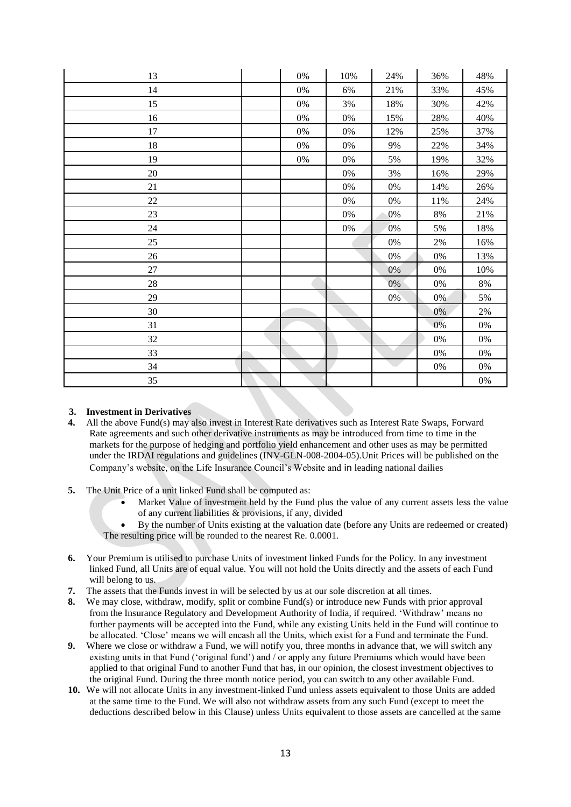| 13     | $0\%$ | $10\%$ | 24%   | 36%    | 48%    |
|--------|-------|--------|-------|--------|--------|
| 14     | $0\%$ | 6%     | 21%   | 33%    | 45%    |
| 15     | 0%    | 3%     | 18%   | 30%    | 42%    |
| 16     | 0%    | $0\%$  | 15%   | 28%    | 40%    |
| $17\,$ | $0\%$ | $0\%$  | 12%   | 25%    | 37%    |
| $18\,$ | $0\%$ | $0\%$  | 9%    | 22%    | 34%    |
| 19     | 0%    | $0\%$  | 5%    | 19%    | 32%    |
| $20\,$ |       | 0%     | 3%    | 16%    | 29%    |
| 21     |       | $0\%$  | $0\%$ | 14%    | $26\%$ |
| $22\,$ |       | $0\%$  | $0\%$ | $11\%$ | 24%    |
| 23     |       | $0\%$  | 0%    | $8\%$  | 21%    |
| $24\,$ |       | $0\%$  | $0\%$ | 5%     | 18%    |
| 25     |       |        | $0\%$ | 2%     | 16%    |
| $26\,$ |       |        | $0\%$ | $0\%$  | 13%    |
| $27\,$ |       |        | 0%    | $0\%$  | 10%    |
| $28\,$ |       |        | $0\%$ | 0%     | $8\%$  |
| 29     |       |        | $0\%$ | $0\%$  | 5%     |
| 30     |       |        |       | 0%     | $2\%$  |
| 31     |       |        |       | 0%     | $0\%$  |
| 32     |       |        |       | $0\%$  | $0\%$  |
| 33     |       |        |       | $0\%$  | 0%     |
| 34     |       |        |       | $0\%$  | $0\%$  |
| 35     |       |        |       |        | $0\%$  |

# **3. Investment in Derivatives**

- **4.** All the above Fund(s) may also invest in Interest Rate derivatives such as Interest Rate Swaps, Forward Rate agreements and such other derivative instruments as may be introduced from time to time in the markets for the purpose of hedging and portfolio yield enhancement and other uses as may be permitted under the IRDAI regulations and guidelines (INV-GLN-008-2004-05).Unit Prices will be published on the Company's website, on the Life Insurance Council's Website and in leading national dailies
- **5.** The Unit Price of a unit linked Fund shall be computed as:
	- Market Value of investment held by the Fund plus the value of any current assets less the value of any current liabilities & provisions, if any, divided
	- By the number of Units existing at the valuation date (before any Units are redeemed or created) The resulting price will be rounded to the nearest Re. 0.0001.
- **6.** Your Premium is utilised to purchase Units of investment linked Funds for the Policy. In any investment linked Fund, all Units are of equal value. You will not hold the Units directly and the assets of each Fund will belong to us.
- **7.** The assets that the Funds invest in will be selected by us at our sole discretion at all times.
- **8.** We may close, withdraw, modify, split or combine Fund(s) or introduce new Funds with prior approval from the Insurance Regulatory and Development Authority of India, if required. 'Withdraw' means no further payments will be accepted into the Fund, while any existing Units held in the Fund will continue to be allocated. 'Close' means we will encash all the Units, which exist for a Fund and terminate the Fund.
- **9.** Where we close or withdraw a Fund, we will notify you, three months in advance that, we will switch any existing units in that Fund ('original fund') and / or apply any future Premiums which would have been applied to that original Fund to another Fund that has, in our opinion, the closest investment objectives to the original Fund. During the three month notice period, you can switch to any other available Fund.
- **10.** We will not allocate Units in any investment-linked Fund unless assets equivalent to those Units are added at the same time to the Fund. We will also not withdraw assets from any such Fund (except to meet the deductions described below in this Clause) unless Units equivalent to those assets are cancelled at the same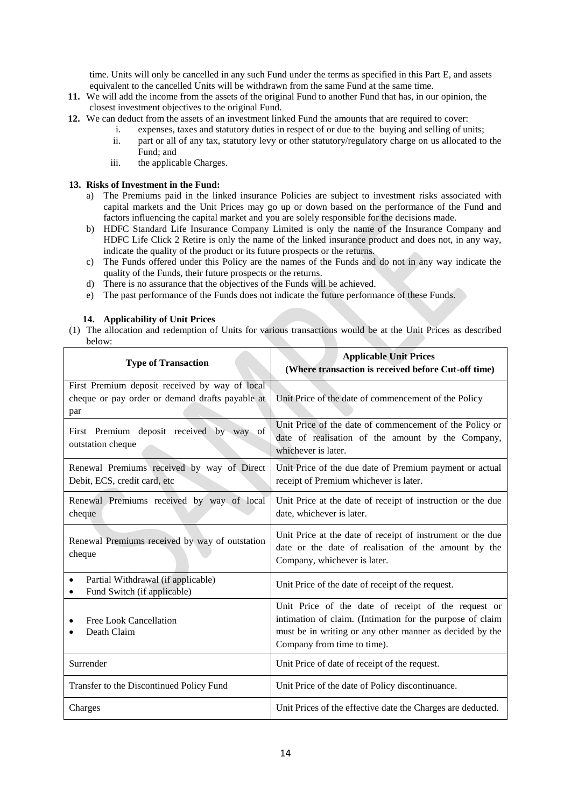time. Units will only be cancelled in any such Fund under the terms as specified in this Part E, and assets equivalent to the cancelled Units will be withdrawn from the same Fund at the same time.

- **11.** We will add the income from the assets of the original Fund to another Fund that has, in our opinion, the closest investment objectives to the original Fund.
- **12.** We can deduct from the assets of an investment linked Fund the amounts that are required to cover:
	- i. expenses, taxes and statutory duties in respect of or due to the buying and selling of units;
	- ii. part or all of any tax, statutory levy or other statutory/regulatory charge on us allocated to the Fund; and
	- iii. the applicable Charges.

# **13. Risks of Investment in the Fund:**

- a) The Premiums paid in the linked insurance Policies are subject to investment risks associated with capital markets and the Unit Prices may go up or down based on the performance of the Fund and factors influencing the capital market and you are solely responsible for the decisions made.
- b) HDFC Standard Life Insurance Company Limited is only the name of the Insurance Company and HDFC Life Click 2 Retire is only the name of the linked insurance product and does not, in any way, indicate the quality of the product or its future prospects or the returns.
- c) The Funds offered under this Policy are the names of the Funds and do not in any way indicate the quality of the Funds, their future prospects or the returns.
- d) There is no assurance that the objectives of the Funds will be achieved.
- e) The past performance of the Funds does not indicate the future performance of these Funds.

# **14. Applicability of Unit Prices**

(1) The allocation and redemption of Units for various transactions would be at the Unit Prices as described below:

| <b>Type of Transaction</b>                                                                               | <b>Applicable Unit Prices</b><br>(Where transaction is received before Cut-off time)                                                                                                                        |
|----------------------------------------------------------------------------------------------------------|-------------------------------------------------------------------------------------------------------------------------------------------------------------------------------------------------------------|
| First Premium deposit received by way of local<br>cheque or pay order or demand drafts payable at<br>par | Unit Price of the date of commencement of the Policy                                                                                                                                                        |
| First Premium deposit received by way of<br>outstation cheque                                            | Unit Price of the date of commencement of the Policy or<br>date of realisation of the amount by the Company,<br>whichever is later.                                                                         |
| Renewal Premiums received by way of Direct<br>Debit, ECS, credit card, etc                               | Unit Price of the due date of Premium payment or actual<br>receipt of Premium whichever is later.                                                                                                           |
| Renewal Premiums received by way of local<br>cheque                                                      | Unit Price at the date of receipt of instruction or the due<br>date, whichever is later.                                                                                                                    |
| Renewal Premiums received by way of outstation<br>cheque                                                 | Unit Price at the date of receipt of instrument or the due<br>date or the date of realisation of the amount by the<br>Company, whichever is later.                                                          |
| Partial Withdrawal (if applicable)<br>٠<br>Fund Switch (if applicable)                                   | Unit Price of the date of receipt of the request.                                                                                                                                                           |
| Free Look Cancellation<br>Death Claim                                                                    | Unit Price of the date of receipt of the request or<br>intimation of claim. (Intimation for the purpose of claim<br>must be in writing or any other manner as decided by the<br>Company from time to time). |
| Surrender                                                                                                | Unit Price of date of receipt of the request.                                                                                                                                                               |
| Transfer to the Discontinued Policy Fund                                                                 | Unit Price of the date of Policy discontinuance.                                                                                                                                                            |
| Charges                                                                                                  | Unit Prices of the effective date the Charges are deducted.                                                                                                                                                 |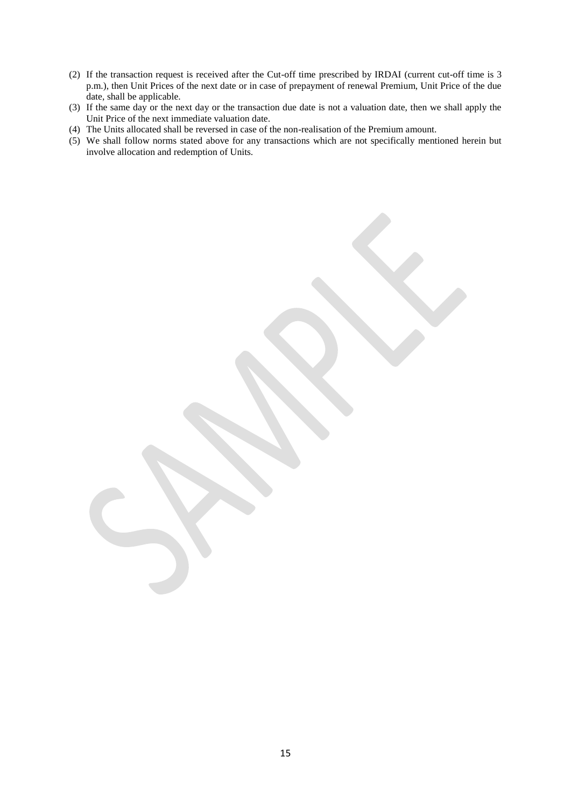- (2) If the transaction request is received after the Cut-off time prescribed by IRDAI (current cut-off time is 3 p.m.), then Unit Prices of the next date or in case of prepayment of renewal Premium, Unit Price of the due date, shall be applicable.
- (3) If the same day or the next day or the transaction due date is not a valuation date, then we shall apply the Unit Price of the next immediate valuation date.
- (4) The Units allocated shall be reversed in case of the non-realisation of the Premium amount.
- (5) We shall follow norms stated above for any transactions which are not specifically mentioned herein but involve allocation and redemption of Units.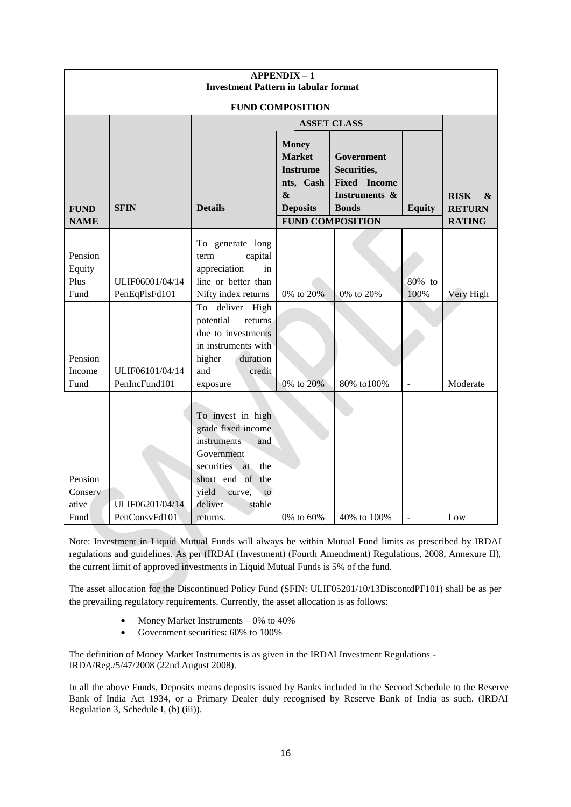|                                     |                                             |                                                                                                                                                                                                                                                                     | <b>APPENDIX-1</b> |             |                                                    |           |  |
|-------------------------------------|---------------------------------------------|---------------------------------------------------------------------------------------------------------------------------------------------------------------------------------------------------------------------------------------------------------------------|-------------------|-------------|----------------------------------------------------|-----------|--|
|                                     | <b>Investment Pattern in tabular format</b> |                                                                                                                                                                                                                                                                     |                   |             |                                                    |           |  |
|                                     | <b>FUND COMPOSITION</b>                     |                                                                                                                                                                                                                                                                     |                   |             |                                                    |           |  |
|                                     |                                             | <b>ASSET CLASS</b>                                                                                                                                                                                                                                                  |                   |             |                                                    |           |  |
| <b>FUND</b><br><b>NAME</b>          | <b>SFIN</b>                                 | <b>Money</b><br><b>Market</b><br>Government<br>Securities,<br><b>Instrume</b><br><b>Fixed</b> Income<br>nts, Cash<br>$\boldsymbol{\&}$<br><b>Instruments &amp;</b><br><b>Details</b><br><b>Deposits</b><br><b>Bonds</b><br><b>Equity</b><br><b>FUND COMPOSITION</b> |                   |             | <b>RISK</b><br>&<br><b>RETURN</b><br><b>RATING</b> |           |  |
| Pension<br>Equity<br>Plus<br>Fund   | ULIF06001/04/14<br>PenEqPlsFd101            | To generate long<br>capital<br>term<br>appreciation<br>in<br>line or better than<br>Nifty index returns                                                                                                                                                             | 0% to 20%         | 0% to 20%   | 80% to<br>100%                                     | Very High |  |
| Pension<br>Income<br>Fund           | ULIF06101/04/14<br>PenIncFund101            | High<br>deliver<br>To<br>potential<br>returns<br>due to investments<br>in instruments with<br>higher<br>duration<br>and<br>credit<br>exposure                                                                                                                       | 0% to 20%         | 80% to100%  |                                                    | Moderate  |  |
| Pension<br>Conserv<br>ative<br>Fund | ULIF06201/04/14<br>PenConsvFd101            | To invest in high<br>grade fixed income<br>instruments<br>and<br>Government<br>securities<br>at<br>the<br>short end of<br>the<br>yield<br>curve,<br>to<br>deliver<br>stable<br>returns.                                                                             | 0% to 60%         | 40% to 100% |                                                    | Low       |  |

Note: Investment in Liquid Mutual Funds will always be within Mutual Fund limits as prescribed by IRDAI regulations and guidelines. As per (IRDAI (Investment) (Fourth Amendment) Regulations, 2008, Annexure II), the current limit of approved investments in Liquid Mutual Funds is 5% of the fund.

The asset allocation for the Discontinued Policy Fund (SFIN: ULIF05201/10/13DiscontdPF101) shall be as per the prevailing regulatory requirements. Currently, the asset allocation is as follows:

- Money Market Instruments 0% to 40%
- Government securities: 60% to 100%

The definition of Money Market Instruments is as given in the IRDAI Investment Regulations - IRDA/Reg./5/47/2008 (22nd August 2008).

In all the above Funds, Deposits means deposits issued by Banks included in the Second Schedule to the Reserve Bank of India Act 1934, or a Primary Dealer duly recognised by Reserve Bank of India as such. (IRDAI Regulation 3, Schedule I, (b) (iii)).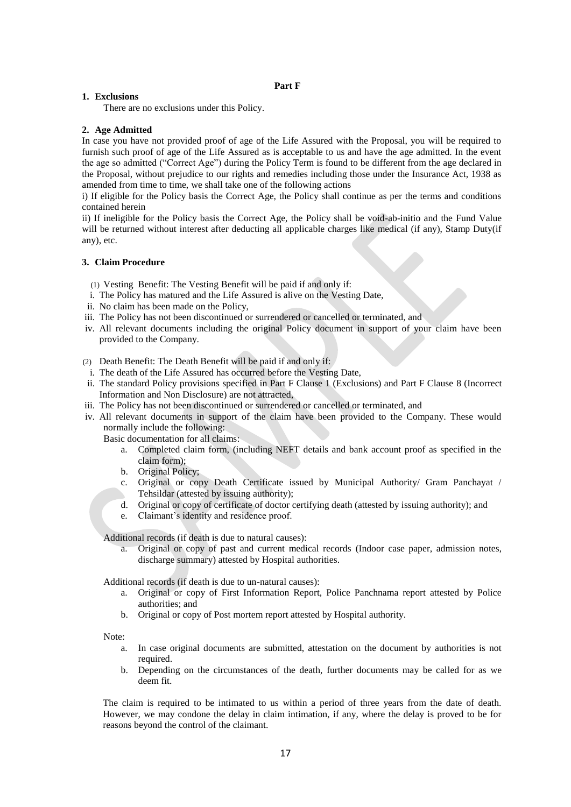#### **Part F**

#### **1. Exclusions**

There are no exclusions under this Policy.

### **2. Age Admitted**

In case you have not provided proof of age of the Life Assured with the Proposal, you will be required to furnish such proof of age of the Life Assured as is acceptable to us and have the age admitted. In the event the age so admitted ("Correct Age") during the Policy Term is found to be different from the age declared in the Proposal, without prejudice to our rights and remedies including those under the Insurance Act, 1938 as amended from time to time, we shall take one of the following actions

i) If eligible for the Policy basis the Correct Age, the Policy shall continue as per the terms and conditions contained herein

ii) If ineligible for the Policy basis the Correct Age, the Policy shall be void-ab-initio and the Fund Value will be returned without interest after deducting all applicable charges like medical (if any), Stamp Duty(if any), etc.

#### **3. Claim Procedure**

(1) Vesting Benefit: The Vesting Benefit will be paid if and only if:

- i. The Policy has matured and the Life Assured is alive on the Vesting Date,
- ii. No claim has been made on the Policy,
- iii. The Policy has not been discontinued or surrendered or cancelled or terminated, and
- iv. All relevant documents including the original Policy document in support of your claim have been provided to the Company.
- (2) Death Benefit: The Death Benefit will be paid if and only if:
- i. The death of the Life Assured has occurred before the Vesting Date,
- ii. The standard Policy provisions specified in Part F Clause 1 (Exclusions) and Part F Clause 8 (Incorrect Information and Non Disclosure) are not attracted,
- iii. The Policy has not been discontinued or surrendered or cancelled or terminated, and
- iv. All relevant documents in support of the claim have been provided to the Company. These would normally include the following:

Basic documentation for all claims:

- a. Completed claim form, (including NEFT details and bank account proof as specified in the claim form);
- b. Original Policy;
- c. Original or copy Death Certificate issued by Municipal Authority/ Gram Panchayat / Tehsildar (attested by issuing authority);
- d. Original or copy of certificate of doctor certifying death (attested by issuing authority); and
- e. Claimant's identity and residence proof.

Additional records (if death is due to natural causes):

a. Original or copy of past and current medical records (Indoor case paper, admission notes, discharge summary) attested by Hospital authorities.

Additional records (if death is due to un-natural causes):

- a. Original or copy of First Information Report, Police Panchnama report attested by Police authorities; and
- b. Original or copy of Post mortem report attested by Hospital authority.

Note:

- a. In case original documents are submitted, attestation on the document by authorities is not required.
- b. Depending on the circumstances of the death, further documents may be called for as we deem fit.

The claim is required to be intimated to us within a period of three years from the date of death. However, we may condone the delay in claim intimation, if any, where the delay is proved to be for reasons beyond the control of the claimant.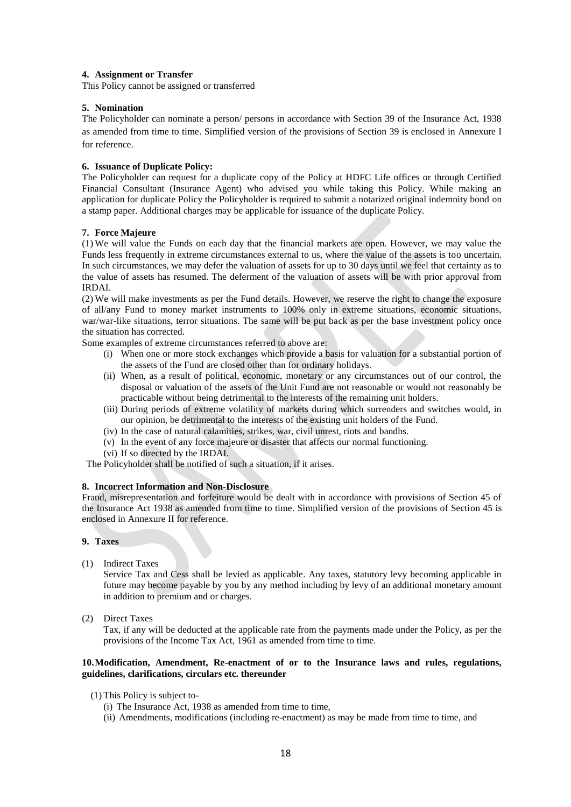# **4. Assignment or Transfer**

This Policy cannot be assigned or transferred

# **5. Nomination**

The Policyholder can nominate a person/ persons in accordance with Section 39 of the Insurance Act, 1938 as amended from time to time. Simplified version of the provisions of Section 39 is enclosed in Annexure I for reference.

# **6. Issuance of Duplicate Policy:**

The Policyholder can request for a duplicate copy of the Policy at HDFC Life offices or through Certified Financial Consultant (Insurance Agent) who advised you while taking this Policy. While making an application for duplicate Policy the Policyholder is required to submit a notarized original indemnity bond on a stamp paper. Additional charges may be applicable for issuance of the duplicate Policy.

# **7. Force Majeure**

(1) We will value the Funds on each day that the financial markets are open. However, we may value the Funds less frequently in extreme circumstances external to us, where the value of the assets is too uncertain. In such circumstances, we may defer the valuation of assets for up to 30 days until we feel that certainty as to the value of assets has resumed. The deferment of the valuation of assets will be with prior approval from IRDAI.

(2) We will make investments as per the Fund details. However, we reserve the right to change the exposure of all/any Fund to money market instruments to 100% only in extreme situations, economic situations, war/war-like situations, terror situations. The same will be put back as per the base investment policy once the situation has corrected.

Some examples of extreme circumstances referred to above are:

- (i) When one or more stock exchanges which provide a basis for valuation for a substantial portion of the assets of the Fund are closed other than for ordinary holidays.
- (ii) When, as a result of political, economic, monetary or any circumstances out of our control, the disposal or valuation of the assets of the Unit Fund are not reasonable or would not reasonably be practicable without being detrimental to the interests of the remaining unit holders.
- (iii) During periods of extreme volatility of markets during which surrenders and switches would, in our opinion, be detrimental to the interests of the existing unit holders of the Fund.
- (iv) In the case of natural calamities, strikes, war, civil unrest, riots and bandhs.
- (v) In the event of any force majeure or disaster that affects our normal functioning.
- (vi) If so directed by the IRDAI.

The Policyholder shall be notified of such a situation, if it arises.

# **8. Incorrect Information and Non-Disclosure**

Fraud, misrepresentation and forfeiture would be dealt with in accordance with provisions of Section 45 of the Insurance Act 1938 as amended from time to time. Simplified version of the provisions of Section 45 is enclosed in Annexure II for reference.

#### **9. Taxes**

(1) Indirect Taxes

Service Tax and Cess shall be levied as applicable. Any taxes, statutory levy becoming applicable in future may become payable by you by any method including by levy of an additional monetary amount in addition to premium and or charges.

(2) Direct Taxes

Tax, if any will be deducted at the applicable rate from the payments made under the Policy, as per the provisions of the Income Tax Act, 1961 as amended from time to time.

#### **10.Modification, Amendment, Re-enactment of or to the Insurance laws and rules, regulations, guidelines, clarifications, circulars etc. thereunder**

- (1) This Policy is subject to-
	- (i) The Insurance Act, 1938 as amended from time to time,
	- (ii) Amendments, modifications (including re-enactment) as may be made from time to time, and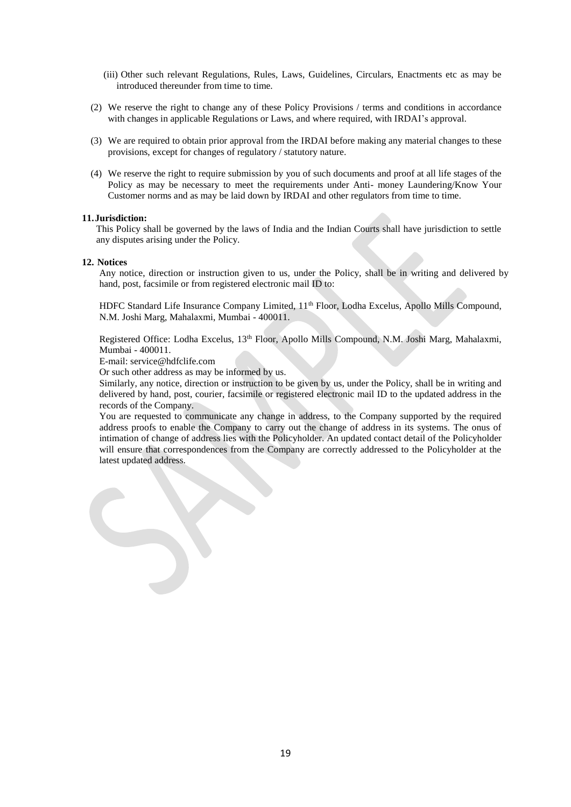- (iii) Other such relevant Regulations, Rules, Laws, Guidelines, Circulars, Enactments etc as may be introduced thereunder from time to time.
- (2) We reserve the right to change any of these Policy Provisions / terms and conditions in accordance with changes in applicable Regulations or Laws, and where required, with IRDAI's approval.
- (3) We are required to obtain prior approval from the IRDAI before making any material changes to these provisions, except for changes of regulatory / statutory nature.
- (4) We reserve the right to require submission by you of such documents and proof at all life stages of the Policy as may be necessary to meet the requirements under Anti- money Laundering/Know Your Customer norms and as may be laid down by IRDAI and other regulators from time to time.

#### **11.Jurisdiction:**

This Policy shall be governed by the laws of India and the Indian Courts shall have jurisdiction to settle any disputes arising under the Policy.

#### **12. Notices**

Any notice, direction or instruction given to us, under the Policy, shall be in writing and delivered by hand, post, facsimile or from registered electronic mail ID to:

HDFC Standard Life Insurance Company Limited, 11<sup>th</sup> Floor, Lodha Excelus, Apollo Mills Compound, N.M. Joshi Marg, Mahalaxmi, Mumbai - 400011.

Registered Office: Lodha Excelus, 13th Floor, Apollo Mills Compound, N.M. Joshi Marg, Mahalaxmi, Mumbai - 400011.

E-mail: service@hdfclife.com

Or such other address as may be informed by us.

Similarly, any notice, direction or instruction to be given by us, under the Policy, shall be in writing and delivered by hand, post, courier, facsimile or registered electronic mail ID to the updated address in the records of the Company.

You are requested to communicate any change in address, to the Company supported by the required address proofs to enable the Company to carry out the change of address in its systems. The onus of intimation of change of address lies with the Policyholder. An updated contact detail of the Policyholder will ensure that correspondences from the Company are correctly addressed to the Policyholder at the latest updated address.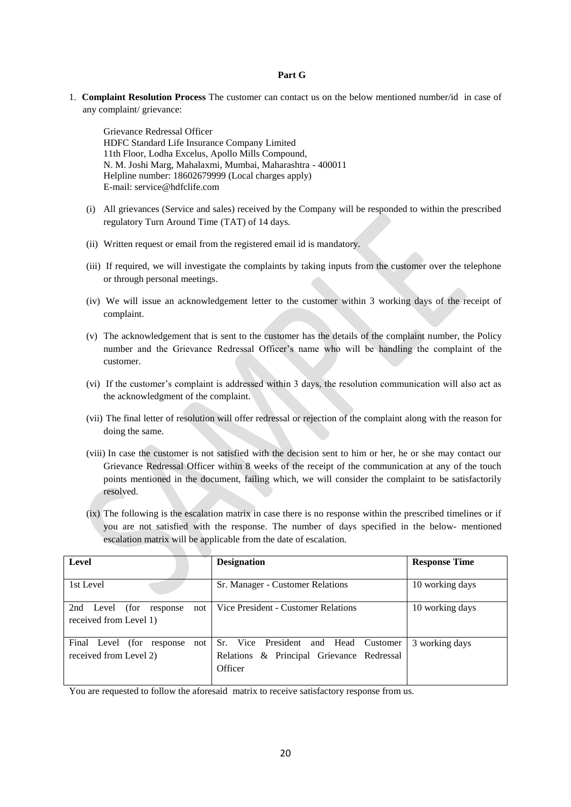#### **Part G**

1. **Complaint Resolution Process** The customer can contact us on the below mentioned number/id in case of any complaint/ grievance:

Grievance Redressal Officer HDFC Standard Life Insurance Company Limited 11th Floor, Lodha Excelus, Apollo Mills Compound, N. M. Joshi Marg, Mahalaxmi, Mumbai, Maharashtra - 400011 Helpline number: 18602679999 (Local charges apply) E-mail: [service@hdfclife.com](mailto:service@hdfclife.com)

- (i) All grievances (Service and sales) received by the Company will be responded to within the prescribed regulatory Turn Around Time (TAT) of 14 days.
- (ii) Written request or email from the registered email id is mandatory.
- (iii) If required, we will investigate the complaints by taking inputs from the customer over the telephone or through personal meetings.
- (iv) We will issue an acknowledgement letter to the customer within 3 working days of the receipt of complaint.
- (v) The acknowledgement that is sent to the customer has the details of the complaint number, the Policy number and the Grievance Redressal Officer's name who will be handling the complaint of the customer.
- (vi) If the customer's complaint is addressed within 3 days, the resolution communication will also act as the acknowledgment of the complaint.
- (vii) The final letter of resolution will offer redressal or rejection of the complaint along with the reason for doing the same.
- (viii) In case the customer is not satisfied with the decision sent to him or her, he or she may contact our Grievance Redressal Officer within 8 weeks of the receipt of the communication at any of the touch points mentioned in the document, failing which, we will consider the complaint to be satisfactorily resolved.
- (ix) The following is the escalation matrix in case there is no response within the prescribed timelines or if you are not satisfied with the response. The number of days specified in the below- mentioned escalation matrix will be applicable from the date of escalation.

| Level                                                             | <b>Designation</b>                                                                                 | <b>Response Time</b> |
|-------------------------------------------------------------------|----------------------------------------------------------------------------------------------------|----------------------|
| 1st Level                                                         | Sr. Manager - Customer Relations                                                                   | 10 working days      |
| (for<br>2nd<br>Level<br>not<br>response<br>received from Level 1) | Vice President - Customer Relations                                                                | 10 working days      |
| Final Level (for<br>not<br>response<br>received from Level 2)     | President<br>Sr. Vice<br>and Head Customer<br>Relations & Principal Grievance Redressal<br>Officer | 3 working days       |

You are requested to follow the aforesaid matrix to receive satisfactory response from us.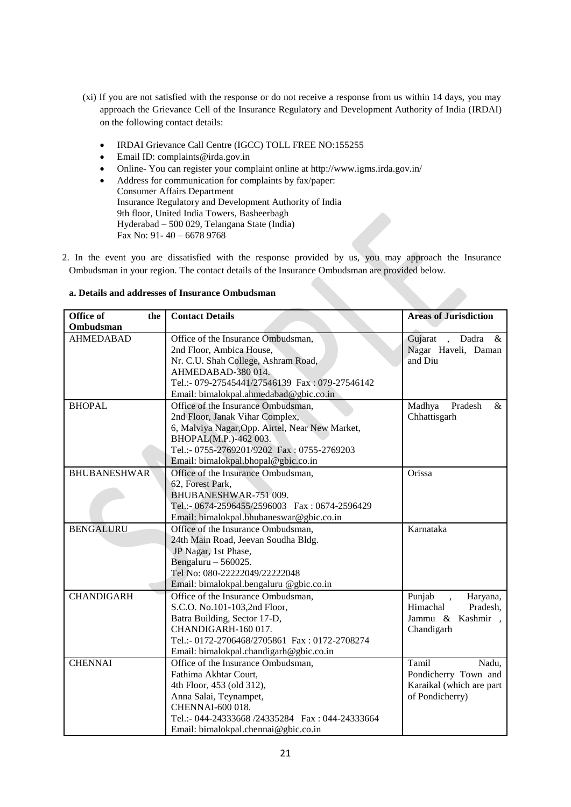- (xi) If you are not satisfied with the response or do not receive a response from us within 14 days, you may approach the Grievance Cell of the Insurance Regulatory and Development Authority of India (IRDAI) on the following contact details:
	- IRDAI Grievance Call Centre (IGCC) TOLL FREE NO:155255
	- Email ID: complaints@irda.gov.in
	- Online- You can register your complaint online at http://www.igms.irda.gov.in/
	- Address for communication for complaints by fax/paper:

Consumer Affairs Department Insurance Regulatory and Development Authority of India 9th floor, United India Towers, Basheerbagh Hyderabad – 500 029, Telangana State (India) Fax No: 91- 40 – 6678 9768

2. In the event you are dissatisfied with the response provided by us, you may approach the Insurance Ombudsman in your region. The contact details of the Insurance Ombudsman are provided below.

| Office of<br>the    | <b>Contact Details</b>                           | <b>Areas of Jurisdiction</b>          |
|---------------------|--------------------------------------------------|---------------------------------------|
| Ombudsman           |                                                  |                                       |
| <b>AHMEDABAD</b>    | Office of the Insurance Ombudsman,               | Gujarat<br>Dadra<br>$\&$<br>$\sim 10$ |
|                     | 2nd Floor, Ambica House,                         | Nagar Haveli, Daman                   |
|                     | Nr. C.U. Shah College, Ashram Road,              | and Diu                               |
|                     | AHMEDABAD-380014.                                |                                       |
|                     | Tel.:- 079-27545441/27546139 Fax: 079-27546142   |                                       |
|                     | Email: bimalokpal.ahmedabad@gbic.co.in           |                                       |
| <b>BHOPAL</b>       | Office of the Insurance Ombudsman,               | Madhya<br>Pradesh<br>$\&$             |
|                     | 2nd Floor, Janak Vihar Complex,                  | Chhattisgarh                          |
|                     | 6, Malviya Nagar, Opp. Airtel, Near New Market,  |                                       |
|                     | BHOPAL(M.P.)-462 003.                            |                                       |
|                     | Tel.:- 0755-2769201/9202 Fax: 0755-2769203       |                                       |
|                     | Email: bimalokpal.bhopal@gbic.co.in              |                                       |
| <b>BHUBANESHWAR</b> | Office of the Insurance Ombudsman,               | Orissa                                |
|                     | 62, Forest Park,                                 |                                       |
|                     | BHUBANESHWAR-751 009.                            |                                       |
|                     | Tel.:- 0674-2596455/2596003 Fax: 0674-2596429    |                                       |
|                     | Email: bimalokpal.bhubaneswar@gbic.co.in         |                                       |
| <b>BENGALURU</b>    | Office of the Insurance Ombudsman,               | Karnataka                             |
|                     | 24th Main Road, Jeevan Soudha Bldg.              |                                       |
|                     | JP Nagar, 1st Phase,                             |                                       |
|                     | Bengaluru $-560025$ .                            |                                       |
|                     | Tel No: 080-22222049/22222048                    |                                       |
|                     | Email: bimalokpal.bengaluru @gbic.co.in          |                                       |
| <b>CHANDIGARH</b>   | Office of the Insurance Ombudsman,               | Punjab<br>Haryana,                    |
|                     | S.C.O. No.101-103,2nd Floor,                     | Himachal<br>Pradesh,                  |
|                     | Batra Building, Sector 17-D,                     | Jammu & Kashmir,                      |
|                     | CHANDIGARH-160 017.                              | Chandigarh                            |
|                     | Tel.:- 0172-2706468/2705861 Fax: 0172-2708274    |                                       |
|                     | Email: bimalokpal.chandigarh@gbic.co.in          |                                       |
| <b>CHENNAI</b>      | Office of the Insurance Ombudsman,               | Tamil<br>Nadu,                        |
|                     | Fathima Akhtar Court,                            | Pondicherry Town and                  |
|                     | 4th Floor, 453 (old 312),                        | Karaikal (which are part              |
|                     | Anna Salai, Teynampet,                           | of Pondicherry)                       |
|                     | CHENNAI-600 018.                                 |                                       |
|                     | Tel.:- 044-24333668 /24335284  Fax: 044-24333664 |                                       |
|                     | Email: bimalokpal.chennai@gbic.co.in             |                                       |

# **a. Details and addresses of Insurance Ombudsman**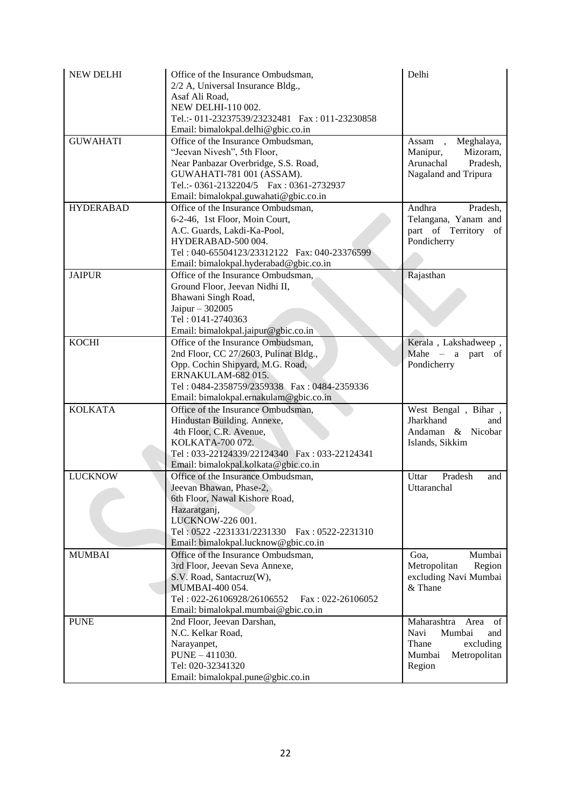| <b>NEW DELHI</b> | Office of the Insurance Ombudsman,<br>2/2 A, Universal Insurance Bldg.,<br>Asaf Ali Road,<br>NEW DELHI-110 002.<br>Tel.:- 011-23237539/23232481    Fax: 011-23230858<br>Email: bimalokpal.delhi@gbic.co.in                     | Delhi                                                                                                        |
|------------------|--------------------------------------------------------------------------------------------------------------------------------------------------------------------------------------------------------------------------------|--------------------------------------------------------------------------------------------------------------|
| <b>GUWAHATI</b>  | Office of the Insurance Ombudsman,<br>"Jeevan Nivesh", 5th Floor,<br>Near Panbazar Overbridge, S.S. Road,<br>GUWAHATI-781 001 (ASSAM).<br>Tel.:- 0361-2132204/5    Fax: 0361-2732937<br>Email: bimalokpal.guwahati@gbic.co.in  | Assam, Meghalaya,<br>Manipur,<br>Mizoram,<br>Arunachal<br>Pradesh,<br>Nagaland and Tripura                   |
| <b>HYDERABAD</b> | Office of the Insurance Ombudsman,<br>6-2-46, 1st Floor, Moin Court,<br>A.C. Guards, Lakdi-Ka-Pool,<br>HYDERABAD-500 004.<br>Tel: 040-65504123/23312122   Fax: 040-23376599<br>Email: bimalokpal.hyderabad@gbic.co.in          | Andhra<br>Pradesh,<br>Telangana, Yanam and<br>part of Territory of<br>Pondicherry                            |
| <b>JAIPUR</b>    | Office of the Insurance Ombudsman,<br>Ground Floor, Jeevan Nidhi II,<br>Bhawani Singh Road,<br>Jaipur - 302005<br>Tel: 0141-2740363<br>Email: bimalokpal.jaipur@gbic.co.in                                                     | Rajasthan                                                                                                    |
| <b>KOCHI</b>     | Office of the Insurance Ombudsman,<br>2nd Floor, CC 27/2603, Pulinat Bldg.,<br>Opp. Cochin Shipyard, M.G. Road,<br>ERNAKULAM-682015.<br>Tel: 0484-2358759/2359338  Fax: 0484-2359336<br>Email: bimalokpal.ernakulam@gbic.co.in | Kerala, Lakshadweep,<br>Mahe $-$ a part of<br>Pondicherry                                                    |
| <b>KOLKATA</b>   | Office of the Insurance Ombudsman,<br>Hindustan Building. Annexe,<br>4th Floor, C.R. Avenue,<br>KOLKATA-700 072.<br>Tel: 033-22124339/22124340 Fax: 033-22124341<br>Email: bimalokpal.kolkata@gbic.co.in                       | West Bengal, Bihar,<br>Jharkhand<br>and<br>Andaman & Nicobar<br>Islands, Sikkim                              |
| <b>LUCKNOW</b>   | Office of the Insurance Ombudsman,<br>Jeevan Bhawan, Phase-2,<br>6th Floor, Nawal Kishore Road,<br>Hazaratganj,<br>LUCKNOW-226 001.<br>Tel: 0522 -2231331/2231330   Fax: 0522-2231310<br>Email: bimalokpal.lucknow@gbic.co.in  | Uttar<br>Pradesh<br>and<br>Uttaranchal                                                                       |
| <b>MUMBAI</b>    | Office of the Insurance Ombudsman,<br>3rd Floor, Jeevan Seva Annexe,<br>S.V. Road, Santacruz(W),<br>MUMBAI-400 054.<br>Tel: 022-26106928/26106552<br>Fax: 022-26106052<br>Email: bimalokpal.mumbai@gbic.co.in                  | Mumbai<br>Goa,<br>Metropolitan<br>Region<br>excluding Navi Mumbai<br>& Thane                                 |
| <b>PUNE</b>      | 2nd Floor, Jeevan Darshan,<br>N.C. Kelkar Road,<br>Narayanpet,<br>$PUNE - 411030.$<br>Tel: 020-32341320<br>Email: bimalokpal.pune@gbic.co.in                                                                                   | Maharashtra<br>Area<br>of<br>Navi<br>Mumbai<br>and<br>Thane<br>excluding<br>Metropolitan<br>Mumbai<br>Region |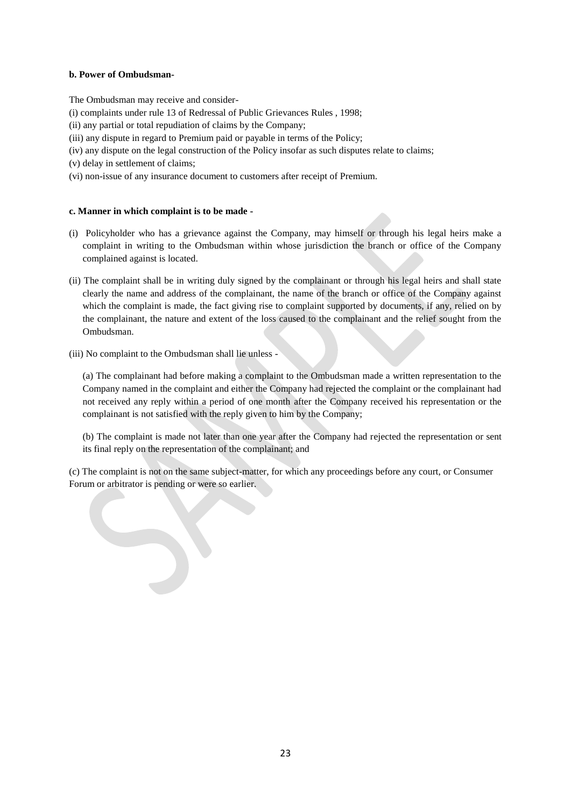# **b. Power of Ombudsman-**

The Ombudsman may receive and consider-

- [\(i\)](http://indiankanoon.org/doc/160521836/) complaints under rule 13 of Redressal of Public Grievances Rules , 1998;
- [\(ii\)](http://indiankanoon.org/doc/156757242/) any partial or total repudiation of claims by the Company;
- [\(iii\)](http://indiankanoon.org/doc/163591613/) any dispute in regard to Premium paid or payable in terms of the Policy;
- [\(iv\)](http://indiankanoon.org/doc/31367799/) any dispute on the legal construction of the Policy insofar as such disputes relate to claims;
- [\(v\)](http://indiankanoon.org/doc/26463888/) delay in settlement of claims;
- [\(vi\)](http://indiankanoon.org/doc/47238858/) non-issue of any insurance document to customers after receipt of Premium.

# **c. Manner in which complaint is to be made -**

- [\(i\)](http://indiankanoon.org/doc/160481793/) Policyholder who has a grievance against the Company, may himself or through his legal heirs make a complaint in writing to the Ombudsman within whose jurisdiction the branch or office of the Company complained against is located.
- [\(ii\)](http://indiankanoon.org/doc/116915928/) The complaint shall be in writing duly signed by the complainant or through his legal heirs and shall state clearly the name and address of the complainant, the name of the branch or office of the Company against which the complaint is made, the fact giving rise to complaint supported by documents, if any, relied on by the complainant, the nature and extent of the loss caused to the complainant and the relief sought from the Ombudsman.
- [\(iii\)](http://indiankanoon.org/doc/99464357/) No complaint to the Ombudsman shall lie unless -

[\(a\)](http://indiankanoon.org/doc/87794950/) The complainant had before making a complaint to the Ombudsman made a written representation to the Company named in the complaint and either the Company had rejected the complaint or the complainant had not received any reply within a period of one month after the Company received his representation or the complainant is not satisfied with the reply given to him by the Company;

[\(b\)](http://indiankanoon.org/doc/84880221/) The complaint is made not later than one year after the Company had rejected the representation or sent its final reply on the representation of the complainant; and

[\(c\)](http://indiankanoon.org/doc/116794480/) The complaint is not on the same subject-matter, for which any proceedings before any court, or Consumer Forum or arbitrator is pending or were so earlier.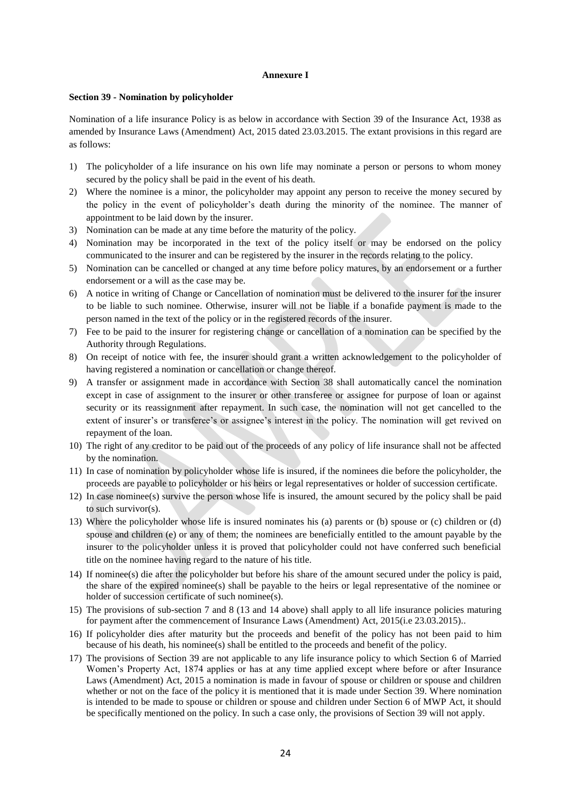#### **Annexure I**

#### **Section 39 - Nomination by policyholder**

Nomination of a life insurance Policy is as below in accordance with Section 39 of the Insurance Act, 1938 as amended by Insurance Laws (Amendment) Act, 2015 dated 23.03.2015. The extant provisions in this regard are as follows:

- 1) The policyholder of a life insurance on his own life may nominate a person or persons to whom money secured by the policy shall be paid in the event of his death.
- 2) Where the nominee is a minor, the policyholder may appoint any person to receive the money secured by the policy in the event of policyholder's death during the minority of the nominee. The manner of appointment to be laid down by the insurer.
- 3) Nomination can be made at any time before the maturity of the policy.
- 4) Nomination may be incorporated in the text of the policy itself or may be endorsed on the policy communicated to the insurer and can be registered by the insurer in the records relating to the policy.
- 5) Nomination can be cancelled or changed at any time before policy matures, by an endorsement or a further endorsement or a will as the case may be.
- 6) A notice in writing of Change or Cancellation of nomination must be delivered to the insurer for the insurer to be liable to such nominee. Otherwise, insurer will not be liable if a bonafide payment is made to the person named in the text of the policy or in the registered records of the insurer.
- 7) Fee to be paid to the insurer for registering change or cancellation of a nomination can be specified by the Authority through Regulations.
- 8) On receipt of notice with fee, the insurer should grant a written acknowledgement to the policyholder of having registered a nomination or cancellation or change thereof.
- 9) A transfer or assignment made in accordance with Section 38 shall automatically cancel the nomination except in case of assignment to the insurer or other transferee or assignee for purpose of loan or against security or its reassignment after repayment. In such case, the nomination will not get cancelled to the extent of insurer's or transferee's or assignee's interest in the policy. The nomination will get revived on repayment of the loan.
- 10) The right of any creditor to be paid out of the proceeds of any policy of life insurance shall not be affected by the nomination.
- 11) In case of nomination by policyholder whose life is insured, if the nominees die before the policyholder, the proceeds are payable to policyholder or his heirs or legal representatives or holder of succession certificate.
- 12) In case nominee(s) survive the person whose life is insured, the amount secured by the policy shall be paid to such survivor(s).
- 13) Where the policyholder whose life is insured nominates his (a) parents or (b) spouse or (c) children or (d) spouse and children (e) or any of them; the nominees are beneficially entitled to the amount payable by the insurer to the policyholder unless it is proved that policyholder could not have conferred such beneficial title on the nominee having regard to the nature of his title.
- 14) If nominee(s) die after the policyholder but before his share of the amount secured under the policy is paid, the share of the expired nominee(s) shall be payable to the heirs or legal representative of the nominee or holder of succession certificate of such nominee(s).
- 15) The provisions of sub-section 7 and 8 (13 and 14 above) shall apply to all life insurance policies maturing for payment after the commencement of Insurance Laws (Amendment) Act, 2015(i.e 23.03.2015)..
- 16) If policyholder dies after maturity but the proceeds and benefit of the policy has not been paid to him because of his death, his nominee(s) shall be entitled to the proceeds and benefit of the policy.
- 17) The provisions of Section 39 are not applicable to any life insurance policy to which Section 6 of Married Women's Property Act, 1874 applies or has at any time applied except where before or after Insurance Laws (Amendment) Act, 2015 a nomination is made in favour of spouse or children or spouse and children whether or not on the face of the policy it is mentioned that it is made under Section 39. Where nomination is intended to be made to spouse or children or spouse and children under Section 6 of MWP Act, it should be specifically mentioned on the policy. In such a case only, the provisions of Section 39 will not apply.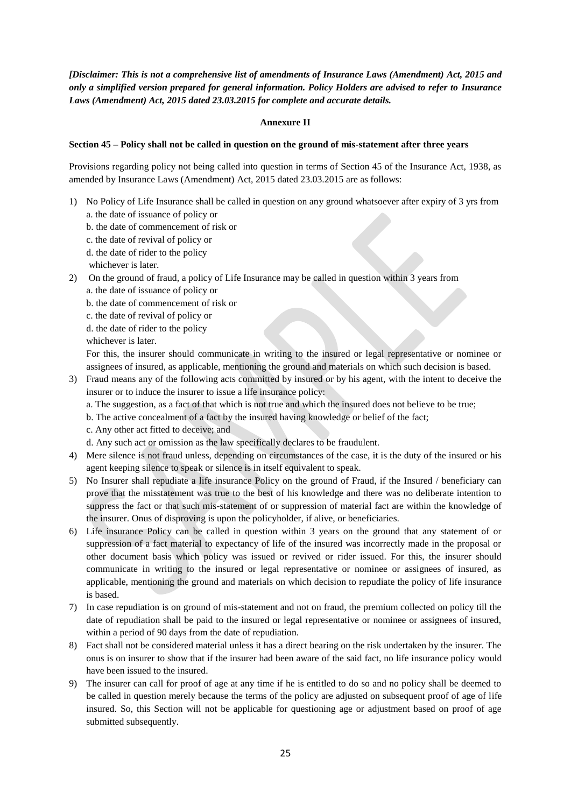*[Disclaimer: This is not a comprehensive list of amendments of Insurance Laws (Amendment) Act, 2015 and only a simplified version prepared for general information. Policy Holders are advised to refer to Insurance Laws (Amendment) Act, 2015 dated 23.03.2015 for complete and accurate details.*

# **Annexure II**

# **Section 45 – Policy shall not be called in question on the ground of mis-statement after three years**

Provisions regarding policy not being called into question in terms of Section 45 of the Insurance Act, 1938, as amended by Insurance Laws (Amendment) Act, 2015 dated 23.03.2015 are as follows:

- 1) No Policy of Life Insurance shall be called in question on any ground whatsoever after expiry of 3 yrs from a. the date of issuance of policy or
	- b. the date of commencement of risk or
	- c. the date of revival of policy or
	- d. the date of rider to the policy
	- whichever is later.
- 2) On the ground of fraud, a policy of Life Insurance may be called in question within 3 years from a. the date of issuance of policy or
	- b. the date of commencement of risk or
	- c. the date of revival of policy or
	- d. the date of rider to the policy
	- whichever is later.

For this, the insurer should communicate in writing to the insured or legal representative or nominee or assignees of insured, as applicable, mentioning the ground and materials on which such decision is based.

- 3) Fraud means any of the following acts committed by insured or by his agent, with the intent to deceive the insurer or to induce the insurer to issue a life insurance policy:
	- a. The suggestion, as a fact of that which is not true and which the insured does not believe to be true;
	- b. The active concealment of a fact by the insured having knowledge or belief of the fact;
	- c. Any other act fitted to deceive; and

d. Any such act or omission as the law specifically declares to be fraudulent.

- 4) Mere silence is not fraud unless, depending on circumstances of the case, it is the duty of the insured or his agent keeping silence to speak or silence is in itself equivalent to speak.
- 5) No Insurer shall repudiate a life insurance Policy on the ground of Fraud, if the Insured / beneficiary can prove that the misstatement was true to the best of his knowledge and there was no deliberate intention to suppress the fact or that such mis-statement of or suppression of material fact are within the knowledge of the insurer. Onus of disproving is upon the policyholder, if alive, or beneficiaries.
- 6) Life insurance Policy can be called in question within 3 years on the ground that any statement of or suppression of a fact material to expectancy of life of the insured was incorrectly made in the proposal or other document basis which policy was issued or revived or rider issued. For this, the insurer should communicate in writing to the insured or legal representative or nominee or assignees of insured, as applicable, mentioning the ground and materials on which decision to repudiate the policy of life insurance is based.
- 7) In case repudiation is on ground of mis-statement and not on fraud, the premium collected on policy till the date of repudiation shall be paid to the insured or legal representative or nominee or assignees of insured, within a period of 90 days from the date of repudiation.
- 8) Fact shall not be considered material unless it has a direct bearing on the risk undertaken by the insurer. The onus is on insurer to show that if the insurer had been aware of the said fact, no life insurance policy would have been issued to the insured.
- 9) The insurer can call for proof of age at any time if he is entitled to do so and no policy shall be deemed to be called in question merely because the terms of the policy are adjusted on subsequent proof of age of life insured. So, this Section will not be applicable for questioning age or adjustment based on proof of age submitted subsequently.